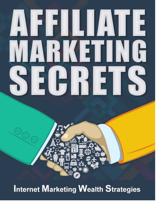# AFFILIAIE ARKETING E HRIETI

## **Internet Marketing Wealth Strategies**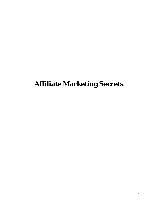## **Affiliate Marketing Secrets**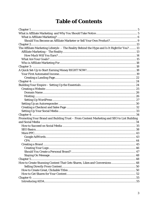#### **Table of Contents**

| Should You Become an Affiliate Marketer or Sell Your Own Product? 9                         |  |
|---------------------------------------------------------------------------------------------|--|
|                                                                                             |  |
| The Affiliate Marketing Lifestyle - The Reality Behind the Hype and Is It Right for You? 13 |  |
|                                                                                             |  |
|                                                                                             |  |
|                                                                                             |  |
|                                                                                             |  |
|                                                                                             |  |
|                                                                                             |  |
|                                                                                             |  |
|                                                                                             |  |
|                                                                                             |  |
|                                                                                             |  |
|                                                                                             |  |
|                                                                                             |  |
|                                                                                             |  |
|                                                                                             |  |
|                                                                                             |  |
|                                                                                             |  |
|                                                                                             |  |
|                                                                                             |  |
|                                                                                             |  |
| Promoting Your Brand and Building Trust - From Content Marketing and SEO to List Building   |  |
|                                                                                             |  |
|                                                                                             |  |
|                                                                                             |  |
|                                                                                             |  |
|                                                                                             |  |
|                                                                                             |  |
|                                                                                             |  |
|                                                                                             |  |
|                                                                                             |  |
|                                                                                             |  |
|                                                                                             |  |
| How to Create Stunning Content That Gets Shares, Likes and Conversions  48                  |  |
|                                                                                             |  |
|                                                                                             |  |
|                                                                                             |  |
|                                                                                             |  |
|                                                                                             |  |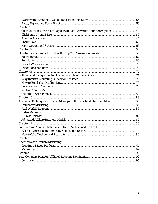| An Introduction to the Most Popular Affiliate Networks And Other Options 60 |  |
|-----------------------------------------------------------------------------|--|
|                                                                             |  |
|                                                                             |  |
|                                                                             |  |
|                                                                             |  |
|                                                                             |  |
|                                                                             |  |
|                                                                             |  |
|                                                                             |  |
|                                                                             |  |
|                                                                             |  |
|                                                                             |  |
|                                                                             |  |
|                                                                             |  |
|                                                                             |  |
|                                                                             |  |
|                                                                             |  |
|                                                                             |  |
|                                                                             |  |
| Advanced Techniques - Flyers, AdSwaps, Influencer Marketing and More 83     |  |
|                                                                             |  |
|                                                                             |  |
|                                                                             |  |
|                                                                             |  |
|                                                                             |  |
|                                                                             |  |
|                                                                             |  |
|                                                                             |  |
|                                                                             |  |
| Chapter 12.                                                                 |  |
|                                                                             |  |
|                                                                             |  |
|                                                                             |  |
|                                                                             |  |
|                                                                             |  |
|                                                                             |  |
|                                                                             |  |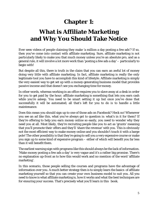## **Chapter 1:**

## <span id="page-4-1"></span><span id="page-4-0"></span>**What is Affiliate Marketing and Why You Should Take Notice**

Ever seen videos of people claiming they make 'a million a day posting a few ads'? If so, then you've come into contact with affiliate marketing. Sure, affiliate marketing is not particularly likely to make you that much money unless you're an absolute pro, and as a general rule, it will involve a lot more work than 'posting a few ads a day' – particularly to begin with!

But despite all this, there is truth in the claim that you can earn an awful lot of money doing very little with affiliate marketing. In fact, affiliate marketing is really the *only*  legitimate tool you have to accomplish this kind of lifestyle. Affiliate marketing is simply the very easiest way to get set up with a money-generating business model that provides *passive* income and that doesn't see you exchanging time for money.

In other words, whereas working in an office requires you to slave away at a desk in order for you to get paid *by the hour*; affiliate marketing is something that lets you earn cash while you're asleep. You need to be smart setting it up but once you've done that successfully it will be automated; all that's left for you to do is to handle a little maintenance.

Does this mean you should sign up to one of those ads on Facebook? Heck no! Whenever you see an ad like this, what you've always got to question is: what's in it for them? If they're offering to help you earn money online so easily, you need to wonder why they need you at all. Most likely, they're recruiting people like you to act as 'grunts' meaning that you'll promote *their* offers and they'll 'share the revenue' with you. This is obviously not the most efficient way to make money online and you shouldn't touch it with a barge pole! The other possibility is that they're going to sell you a very expensive course or make you sign up to some kind of expensive program – either of which will benefit you far less than it will benefit them.

The earliest warning sign with programs like this should always be the lack of information. 'Make money posting a few ads a day' is very vague and it's a rather big promise. There's no explanation up-front as to how this would work and no mention of the word 'affiliate marketing'.

In this scenario, those people selling the courses and programs have the advantage of information over you. A much better strategy then is to simply learn the basics of affiliate marketing yourself so that you can create your *own* business model to suit you. All you need to know is what affiliate marketing is, how it works and what the best techniques are for ensuring your success. That's precisely what you'll learn in this book.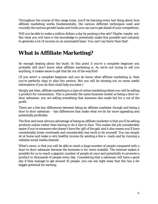Throughout the course of this mega-tome, you'll be learning every last thing about how affiliate marketing works fundamentally, the various different techniques used and crucially the various growth hacks and tricks you can use to get ahead of your competition.

Will you be able to make a million dollars a day by posting a few ads? Maybe, maybe not. But what you *will* have is the knowledge to potentially make that possible and certainly to generate a lot of income on an automated basis. You can't say fairer than that!

#### <span id="page-5-0"></span>**What is Affiliate Marketing?**

So enough beating about the bush! At this point if you're a complete beginner you probably still don't know what affiliate marketing is. As we're not trying to sell you anything, it makes sense to get that bit out of the way first!

(If you aren't a complete beginner and you do know what affiliate marketing is, then you're perfectly okay to skip this section. *But* you will be missing out on some useful information if you do that could help you later.)

Simply put then, affiliate marketing is a type of online marketing where you will be selling a product for commission. This is precisely the same business model as being a door-todoor salesman: you are selling something that someone else made but for a cut of the profit.

There are a few key differences between being an affiliate marketer though and being a door to door salesman – key differences that make what *we* do far more appealing and potentially profitable.

The first and most obvious advantage of being an affiliate marketer is that you'll be selling products online rather than having to do it face to face. This makes the job considerably easier if you're someone who doesn't have the 'gift of the gab' and it also means you'll have considerably lower overheads and considerably less work to do yourself. You can simply sit at home and make a very healthy income by sending a few e- mails and by running a website/social media channel.

What's more, is that you will be able to reach a *huge* number of people compared with a door-to-door salesman because the business is *far* more scalable. The internet makes it possible for us to reach a gigantic number of people at once and potentially to promote a product to thousands of people every day. Considering that a salesman will have a good day if they manage to get around 10 people, you can see right away that this has a far bigger potential for earning.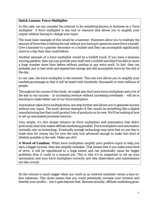#### **Quick Lesson: Force Multiplier**

In this case, we can consider the internet to be something known in business as a 'force multiplier'. A force multiplier is any tool or resource that allows you to amplify your output without having to change your input.

The most basic example of this would be a hammer. Hammers allow you to multiply the amount of force that is hitting the nail without you having to *generate* more force yourself. Give a hammer to a painter-decorator or a builder and they can accomplish significantly more in a day than they could before.

Another example of a force multiplier would be a forklift truck. If you have a business moving palettes, then you can provide your staff with a forklift and they'll be able to move a huge number more than before without putting in any extra work. In fact, they can probably put in *less* work and expend *less* energy and still accomplish more by the end of the day.

In our case, the force multiplier is the internet. This one tool allows you to amplify your marketing message so that it will be heard with hundreds, thousands or even millions of people.

Throughout the course of this book, we might also find more force multipliers and a lot of the key to our success – to increasing revenue without increasing overheads – will be in learning to make better use of our forcemultipliers.

Automation takes force multiplication one step further and allows you to generate income without *any* input. The most obvious example of this would be something like a digital manufacturing line that could product lots of products on its own. We'll be looking at how to set up automated processes here too.

Very simply, it's this simple reliance on force multipliers and automation that didn't previously exist that makes affiliate marketing possible. Force multipliers and automation normally rely on technology. Eventually enough technology may exist that no one has to trade time for money but for now the only tool advanced enough to make this kind of lifestyle possible is the web. Make use ofit!

**A Word of Caution:** While force multipliers amplify your positive input to help you earn a bigger income, they also amplify mistakes. That means that if you make some kind of error, it will be reproduced to a huge extent and can potentially cause far bigger problems than it could in a manual job. This is why it's so important to set up your automation and your force multipliers correctly and why observation and maintenance are also crucial.

So the volume is much bigger when you work as an internet marketer versus a face-toface salesman. This alone means that you could potentially increase your revenue and thereby your profits – but it goes beyond that. Because actually, affiliate marketing gives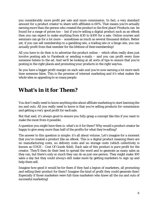you *considerably* more profit per sale and more commission. In fact, a very standard amount for a product creator to share with affiliates is 60%. That means you're actually earning *more* than the person who created the product in the first place! Products can be found for a range of prices too – but if you're selling a digital product such as an eBook then you can expect to make anything from \$30 to \$100 for a sale. Online courses and seminars can go for a lot more – sometimes as much as several thousand dollars. Better yet, if you can sell membership to a gambling site, a trading site or a bingo site, you can actually profit from that member for the *lifetime* of theirmembership!

All *you* have to do then is to advertise the product online – which often really does just involve posting ads to Facebook or sending e-mails – and you can profit every time someone listens to the ad. And we'll be looking at all sorts of tips to ensure that you're posting in the right places and promoting your products in the right waytoo.

So you have a bigger profit margin on each sale *and* you're now earning a *lot* more each time someone bites. This is the promise of internet marketing and it's what makes the whole idea so appealing to so many people.

#### **What's in it for Them?**

You don't really need to know anything else about affiliate marketing to start learning the ins and outs. All you really need to know is that you're selling products for commission and getting a *very* good profit for eachsale.

But that said, it's always good to ensure you fully grasp a concept like this if you want to make the most from it possible.

A question you might have then is: what's in it for them? Why would a product creator be happy to give away more than half of the profits for what they're selling?

The answer to this question is simple: it's all about volume. Let's imagine for a moment that you've created a product like an eBook. This is a digital product meaning there are no manufacturing costs, no delivery costs and no storage costs (which collectively is known as COGS – Cost Of Goods Sold). Each sale of this product is *pure* profit for the creator. They'll then do their best to spread the word and to generate as many sales as they can, but there's only so much they can do as just one person. They might make 100 sales a day but they could *always* still make more by getting marketers to sign up and help them sell.

Imagine how good it would be for them if they had a *legion* of marketers, all promoting and selling their product for them? Imagine the kind of profit they could generate then! Especially if those marketers were full-time marketers who knew all the ins and outs of successful marketing!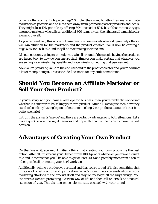So why offer such a high percentage? Simple: they want to attract as many affiliate marketers as possible and to lure them away from promoting *other* products and deals. They might lose 10% per sale by offering 60% instead of 50% but if that means they get one more marketer who sells an additional 300 items a year, then that's still a *much* better scenario overall.

As you can see then, this is one of those rare business models where it *genuinely* offers a win-win situation for the marketers *and* the product creators. You'll now be earning a huge 60% for each sale and they'll be maximizing their income!

Of course it's only going to be *truly* win/win all around if the people buying the products are happy too. So how do you ensure this? Simple: you make certain that whatever you are selling is genuinely high quality and is genuinely something that peoplewant.

Now you're providing value to the end user *and* to the product creator and you're earning a lot of money doing it. This is the ideal scenario for any affiliatemarketer.

#### <span id="page-8-0"></span>**Should You Become an Affiliate Marketer or Sell Your Own Product?**

If you're savvy and you have a keen eye for business, then you're probably wondering whether it's smarter to be selling your own product. After all, we've just seen how they stand to benefit by having legions of marketers selling their products… wouldn't that be a better scenario?

In truth, the answer is 'maybe' and there are certainly advantages to both situations. Let's have a quick look at the key differences and hopefully that will help you to make the best decision.

#### **Advantages of Creating Your Own Product**

On the face of it, you might initially think that creating your own product is the best option. After all, this means you'll benefit from 100% profits whenever you make a direct sale and it means that you'll be able to get at *least* 40% and possibly more from a ton of other people all promoting your hard work too.

Additionally, selling a product you created and that you're proud of is also something that brings a lot of satisfaction and gratification. What's more, it lets you easily align all your marketing efforts with the product itself and stay 'on message' all the way through. You can write a website promoting a certain way of life and then sell an eBook as a natural extension of that. This also means people will stay engaged with your brand –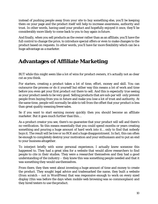instead of pushing people away from your site to buy something else, you'll be keeping them on your page and the product *itself* will help to increase awareness, authority and trust. In other words, having used your product and hopefully enjoyed it once, they'll be considerably more likely to come back to you to buy again infuture.

And finally, when you sell products as the owner rather than as an affiliate, you'll have the full control to change the price, to introduce special offers or even to make changes to the product based on requests. In other words, you'll have far more flexibility which can be a huge advantage as a marketer.

#### **Advantages of Affiliate Marketing**

BUT while this might seem like a lot of wins for product owners, it's actually not as clear cut as you think.

For starters, creating a product takes a lot of time, effort, money and skill. You can outsource the process or do it yourself but either way this means a lot of work and time before you even get your first product out there to sell. And this is *especially* true seeing as your product needs to be very good. Selling products that are sub-par will only prevent people from buying from you in future and make you lose a lot of trust and authority. At the same time, people will normally be able to *tell* from the offset that your product is less than great quality meaning fewer sales.

So if you want to start earning money *quickly* then you should become an affiliate marketer. But it goes much further than this…

As a product creator you see, there's no guarantee that your product will sell and there's no verification. So this means essentially that you could spend months or years creating something and pouring a huge amount of hard work into it… only to find that nobody buys it. The result will be low or *no* ROI and a huge disappointment. In fact, this can often be enough to completely destroy your motivation and your enthusiasm and to put an end to your business altogether.

To interject briefly with some personal experience, I actually knew someone this happened to. They had a great idea for a website that would allow researchers to find people to cite in their studies. They were a researcher themselves and they had a good understanding of the industry – they knew this was something people needed and that it was something they would use themselves.

From there, they then went about investing a huge amount of time and money to create the product. They sought legal advice and trademarked the name, they built a website (from scratch – not in WordPress) that was responsive enough to work on every sized display (this was before the days when mobile web browsing was so commonplace) and they hired testers to use theproduct.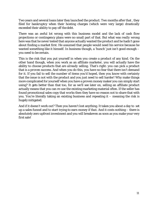Two years and several loans later they launched the product. Two months after that , they filed for bankruptcy when their hosting charges (which were very large) drastically exceeded their ability to pay off the debt.

There was an awful lot wrong with this business model and the lack of cash flow projections or contingency plans were no small part of that. But what was *really* wrong here was that he never tested that anyone actually wanted the product and he hadn't gone about finding a market first. He *assumed* that people would need his service because he wanted something like it himself. In business though, a 'hunch' just isn't good enough – you need to be certain.

This is the risk that you put yourself in when you create a product of any kind. On the other hand though, when you work as an affiliate marketer, you will actually have the ability to choose products that are *already selling*. That's right: you can pick a product that is a *proven* success. And when you do this, you have no fear that there isn't demand for it. If you fail to sell the number of items you'd hoped, then you know with certainty that the issue is *not* with the product and you just need to sell harder! Why make things more complicated for yourself when you have a proven money maker you can simply start using? It gets better than that too, for as we'll see later on, selling an affiliate product actually means that you can re-use the existing marketing material often. If the seller has found promotional sales copy that *works* then they have no reason *not* to share that with you. You're literally taking an existing business and repeating it – meaning the risk is hugely mitigated.

And if it doesn't work out? Then you haven't lost anything. It takes you about a day to set up a sales funnel and to start trying to earn money *if that*. And it costs nothing – there is absolutely zero upfront investment and you will breakeven as soon as you make your very first sale!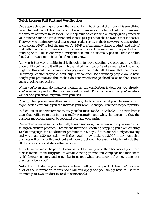#### **Quick Lesson: Fail Fast and Verification**

One approach to selling a product that is popular in business at the moment is something called 'fail fast'. What this means is that you minimize your potential risk by minimizing the amount of time it takes to fail. Your objective here is to find out *very quickly* whether your business model works or not and then to just get out if the answer is that it doesn't. This way, you minimize your damage. As a product creator, the best way to do this is often to create an 'MVP' to test the market. An MVP is a 'minimally viable product' and only if that sells well do you then add to that initial concept by improving the product and building on it. This is one way to mitigate risk and it's especially possible thanks to the fact that most apps can be updated remotelynow.

An even better way to mitigate risk though is to avoid creating the product in the first place until you're *sure* it will sell. This is called 'verification' and an example of how you might do this could be to have a sales page and then only tell the user that the product isn't ready yet after they've clicked 'buy'. You can then see how many people *would* have bought your product and thus make a decision whether to go ahead based on that. Better yet is to collect pre-orders.

When you're an affiliate marketer though, all the verification is done for you already. You're selling a product that is already selling well. Thus you *know* that you're onto a winner and you absolutely minimize your risk.

Finally, when you sell something as an affiliate, the business model you'll be using is still highly scalable meaning you can increase your revenue and you can increase your profits.

In fact, it's an understatement to say your business model is scalable – it's even better than that. Affiliate marketing is actually *repeatable* and what this means is that the business model can simply be repeated over and over again.

Remember when we said it potentially takes a single day to create a landing page and start selling an affiliate product? That means that there's *nothing* stopping you from creating 100 landing pages for 100 different products in 100 days. If each one sells only once a day and you make \$30 per sale… well then you're now making \$3,000 a day. *And* that business will be incredible resilient and therefore stable – because it's highly unlikely that all the products would stop selling atonce.

Affiliate marketing is the perfect business model in many ways then because all you need to do is to take an existing product with an existing promotional campaign and then share it. It's literally a 'copy and paste' business and when you know a few key things it's practically fool-proof!

**Note:** If you do decide you'd rather create and sell your own product then don't worry – a lot of the information in this book will still apply and you simply have to use it to promote your own product instead of someone else's!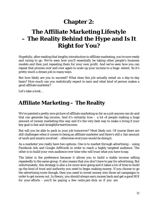## **Chapter 2:**

## <span id="page-12-1"></span><span id="page-12-0"></span>**The Affiliate Marketing Lifestyle – The Reality Behind the Hype and Is It Right for You?**

Hopefully, after reading that lengthy introduction to affiliate marketing, you're now ready and raring to go. We've seen how you'll essentially be taking other people's business models and then just repeating them for your own profit. And we've seen how you can repeat that process over and over again to scale up your income to a huge extent. So it's pretty much a dream job in many ways.

But how likely are you to succeed? What does this job actually entail on a day-to-day basis? How much can you realistically expect to earn and what kind of person makes a good affiliate marketer?

Let's take a look…

#### <span id="page-12-2"></span>**Affiliate Marketing – The Reality**

We've painted a pretty nice picture of affiliate marketing so far as a job anyone can do and that can generate big income. And it's certainly true – a lot of people making a huge amount of money marketing this way and it's the very best way to make a living if your key goal is fast and straightforward income.

But will you be able to pack in your job tomorrow? Most likely not. Of course there are still challenges when it comes to being an affiliate marketer and there's still a fair amount of work and smarts involved – otherwise *everyone* would be doing it.

As a marketer you really have two options. One is to market through advertising – using Facebook Ads and Google AdWords in order to reach a highly targeted audience. The other is to build your own audience over time who will trust what you have tosay.

The latter is the preference because it allows you to build a stable income selling repeatedly to the same group. It also means that you don't have to pay for advertising. But unfortunately, this strategy is also a lot more slow going and it takes a lot of time to build up the kind of trust and authority you need to begin making money. If you choose to go the advertising route though, then you need to invest money into those ad campaigns in order to get money out. In theory, you should always earn money back and get a good ROI for your efforts – you'll be paying a few cents per click so if you are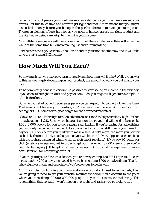targeting the right people you should make a few sales before your overheads exceed your profits. But this takes time and effort to get right and that in turn means that you might lose a little money before you hit upon the perfect 'formula' to start generating cash. There's an element of luck here too as you need to happen across the right product and the right advertising campaign to maximize your income.

Most affiliate marketers will use a combination of these strategies – they will advertise while at the same time building a mailing list and running ablog.

For these reasons, you certainly shouldn't hand in your notice tomorrow and it will take time to start seeing BIG income.

#### <span id="page-13-0"></span>**How Much Will You Earn?**

So how much can you expect to earn precisely and how long will it take? Well, the answer to this ranges hugely depending on your product, the amount of work you put in and your luck.

To be completely honest, it certainly *is* possible to start seeing an income in the first day. If you choose the right product and pay for some ads, you might well generate a couple of sales before long.

But when you start out with your sales page, you can expect it to convert <1% of the time. That means that for every 100 visitors, you'll get less than one sale. With practice it can get higher (10% being a very good target for the advancedmarketer).

Likewise CTR (click through rate) on adverts doesn't tend to be particularly high either – maybe about .1-.2%. So now you have a situation where your ad will need to be seen by 1,000-2,000 people for you to get a single sale. Luckily if you're paying for advertising, you will only pay when someone clicks your advert – but that still means you'll need to pay for 100 clicks before you're likely to make a sale. What's more, the more you pay for each click, the more likely it is that your advert will be seen (adverts appear based on 'bids' with the highest paying ad winning the ad slots most regularly). If you pay 30 cents per click (a fairly average amount in order to get your required 10,000 views), then you're going to be paying \$30 to get your one conversion. (All this will be explained in more detail later on, for now just go with it).

If you're getting \$40 for each sale then, you're now spending \$30 for \$10 profit. To earn a reasonable \$200 a day then, you'd have to be spending \$600 on advertising. That's a fairly big investment and especially if you're nervous to beginwith.

And if you plan on building your own audience so you don't need to rely on ads, then you're going to need to get your website/mailing list/social media account to the point where you're reaching 100,000-200,000 people a day in order to make a real living. This is something that *certainly* won't happen overnight and rather you're looking at a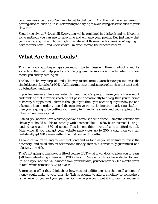good few years before you're likely to get to that point. And that will be a few years of posting articles, sharing links, networking and trying to avoid being dissatisfied with your slow start.

Should you give up? Not at all! Everything will be explained in this book and we'll look at some methods you can use to save time and enhance your profits. But just know that you're not going to be rich overnight (despite what those adverts claim). You're going to have to work hard – and work *smart* – in order to reap the benefits later on.

#### <span id="page-14-0"></span>**What Are Your Goals?**

This then is going to be perhaps your most important lesson in the entire book – and it's something that will help you to practically guarantee success no matter what business model you end up settling on.

The key is to know your goals and to know your timeframe. Unrealistic expectations is the single biggest obstacle for 90% of affiliate marketers and is more often than notwhat ends up being their undoing.

If you become an affiliate marketer thinking that it's going to make you rich overnight and thinking that it involves nothing but posting occasionally to a blog, then you're going to be very disappointed. Likewise though, if you think you need to quit your day job and take out a loan in order to spend the next two years developing your marketing platform then you're going to be putting your family in financial jeopardy and you're going to be taking an unnecessary risk.

Instead, you need to have realistic goals and a realistic time frame. Using the calculations above, you should be able to come up with a reasonable \$10 a day business model using a landing page and a \$30 ad spend. This is something most of us can afford to risk. Meanwhile, if you can get your website page views up to 200 a day, then you can realistically get \$10 a week within the first couple of months.

As long as you're willing to wait that long and as long as you're willing to invest the necessary (and small amount of) time and money, then this is practically guaranteed and relatively low-risk.

That's not going to change your life of course. BUT what it will do is to allow you to earn \$70 from advertising a week and \$280 a month. Suddenly, things have started looking up. And if you add the \$40 a month from your website, you now have \$320 a month profit in total which comes to \$3,840 a year.

Before you scoff at that, think about how much of a difference just this small amount of money could make to your lifestyle. This is enough to afford a holiday to somewhere rather nice for you and your partner! Or maybe you could put it into savings and earn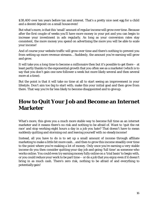\$38,400 over ten years before tax and interest. That's a pretty nice nest egg for a child and a decent deposit on a small house even!

But what's more, is that this 'small' amount of regular income will grow over time. Because after the first couple of weeks you'll have more money in your pot and you can begin to increase your investment in ads regularly. As long as your conversion rates stay consistent, the more money you spend on advertising the more you will be able to scale your income!

And of course your website traffic will grow over time and there's nothing to prevent you from setting up more revenue streams… Suddenly, the amount you're earning will grow and grow.

It will take you a *long* time to become a millionaire then but it's possible to get there – at least partly thanks to the exponential growth that you often see as a marketer (which is to say that you don't gain one new follower a week but more likely several and then several more at a time).

But the point is that it will take no time at all to start seeing an improvement in your lifestyle. Don't aim too big to start with; make this your initial goal and then grow from there. That way you're far less likely to become disappointed and to giveup.

#### **How to Quit Your Job and Become an Internet Marketer**

What's more, this gives you a much more stable way to become full time as an internet marketer and it means there's no risk and nothing to be afraid of. Want to 'quit the rat race' and stop working eight hours a day in a job you hate? That doesn't have to mean suddenly quitting and storming out and leaving yourself with no steadyincome!

Instead, all you have to do is to set up a small amount of income through affiliate marketing to make a little bit more cash… and then to grow this income steadily over time to the point where you're making a lot of money. Only once you're earning a very stable income do you then consider quitting your day job and going 'full time' as someone who works online. You could even try earning money fully online on a 'trial basis' to begin with, or you could reduce your work to be part time – or do a job that you enjoy even if it doesn't bring in as much cash. There's zero risk, nothing to be afraid of and everything to potentially gain!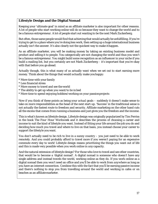#### **Lifestyle Design and the Digital Nomad**

Keeping your 'ultimate goal' in mind as an affiliate marketer is also important for other reasons. A lot of people who start working online will do so because they want to change the world and to be a famous entrepreneur. A lot of people start out wanting to be the next Mark Zuckerberg.

But often, those same people would find that achieving that would actually be unfulfilling. If you're trying to get to a place where you're doing *less* work, then setting up a huge international business actually isn't the answer. It's also clearly not the quickest way to make ithappen.

As an affiliate marketer, you will be making money by taking an existing business model and product and selling it to people. You categorically are *not* changing the world and thus you won't be a famous entrepreneur. You might build some recognition as an influencer in your niche if you build a mailing list, but you certainly are not Mark Zuckerberg – it's important that you're okay with that before you go ahead.

Actually though, this is what many of us actually want when we set out to start earning more money. Think about the things that would *actually* make youhappy:

- \* More time with your family
- \* Less financial stress
- \* More money to travel and see the world
- \* The ability to get up when you want/to lie in bed
- \* More time to spend enjoying hobbies/working on your passionprojects

Now if you think of these points as being your *actual* goals – suddenly it doesn't make sense to take on *more* responsibilities as the head of the next start-up. 'Success' in the traditional sense is not actually the fastest route to freedom and security. Affiliate marketing on the other hand cuts all the excess that comes from running a business and just gives you the freedom and the income.

This is what's known as lifestyle design. Lifestyle design was originally popularized by Tim Ferriss in the book *The Four Hour Workweek* and it describes the process of choosing a career and income to suit the kind of lifestyle you want. Instead of fitting your life around the job you do and deciding how much you travel and where to live on that basis, you instead choose your career to support the *lifestyle* youwant.

You don't actually need to be rich to live in a sunny country – you just need to be able to work remotely. And you could probably afford to travel more if you weren't paying for an expensive commute every day to work! Lifestyle design means prioritizing the things you want out of life and this is made very possible when you work online in *any*capacity.

And the natural extension of lifestyle design? For those who love to travel and see other countries, that would be to become a 'digital nomad'. A digital nomad is someone who doesn't have any single address and instead travels the world, working online as they do. If you work online as a digital nomad then you won't need an office and you'll be able to work from *anywhere* as long as you have an internet connection. Combine this with the fact that you'll be earning passive income and there's nothing to stop you from travelling around the world and working in cafes or on beaches as an affiliatemarketer.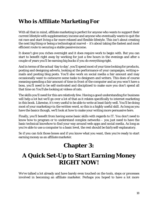#### <span id="page-17-0"></span>**Who is Affiliate Marketing For**

With all that in mind, affiliate marketing is perfect for anyone who wants to support their current lifestyle with supplementary income and anyone who eventually wants to quit the rat race and start living a far more relaxed and flexible lifestyle. This isn't about creating the next big thing or being a technological marvel – it's about taking the fastest and most efficient route to securing a stable passiveincome.

It doesn't give you riches overnight and it *does* require work to begin with. But you can start to benefit right away by working for just a few hours in the evenings and after a couple of years you'll be earning big bucks if you do everything right.

And in terms of the actual 'day to day', you'll spend most of your time looking for products, posting and designing adverts, looking at the performance of your campaigns, writing emails and posting blog posts. You'll also work on social media a fair amount and may occasionally want to outsource some tasks to designers and writers. This does of course meaning spending a fair amount of time in front of the computer and as you won't have a boss, you'll need to be self-motivated and disciplined to make sure you don't spend all that time on YouTube looking at videos of cats.

The skills you'll need for this are relatively few. Having a good understanding for business will help a lot but we'll go over a lot of that as it relates specifically to internet marketing in this book. Likewise, it's very useful to be able to write at least fairly well. You'll be doing most of your marketing *via* the written word, so this is a highly useful skill. As long as you have the basics though, we'll look at how to make your writing more persuasive here.

Finally, you'll benefit from having some basic skills with regards to IT. You don't need to know how to program or to understand complex networks – you just need to have the basic technical knowhow to find your way around web-apps and social media. As long as you're able to use a computer to a basic level, the rest should be fairly self-explanatory.

<span id="page-17-1"></span>So if you can tick those boxes and if you know what you want, then you're ready to start earning money as an affiliate marketer.

## **Chapter 3:**

## <span id="page-17-2"></span>**A Quick Set-Up to Start Earning Money RIGHT NOW!**

We've talked a lot already and have barely even touched on the tools, steps or processes involved in becoming an affiliate marketer. Perhaps you hoped to have a lot more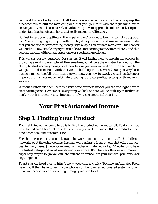technical knowledge by now but all the above is crucial to ensure that you grasp the fundamentals of affiliate marketing and that you go into it with the right mind-set to ensure your eventual success. Often it's knowing how to *approach* affiliate marketing and understanding its nuts and bolts that really makes thedifference.

But just in case you're getting a little impatient, we're about to take the complete opposite tact. We're now going to jump in with a highly straightforward and simple business model that you can use to start earning money right away as an affiliate marketer. This chapter will outline a few simple steps you can take to start earning money immediately and that you can execute without any experience or specialist knowledge.

This will serve a few purposes. For starters, it will further help to explain the process by providing a working example. At the same time, it will give the impatient among you the ability to start earning money right now before you've even read any further. Finally, it will give us a decent framework that we can build upon later. With this as you very basic business model, the following chapters will show you how to tweak the various factors or improve the business model, ultimately leading to greater profits, faster growth and more success.

<span id="page-18-0"></span>Without further ado then, here is a very basic business model you can use *right now* to start earning cash. Remember: everything we look at here will be built upon further, so don't worry if it seems overly simplistic or if you need more information.

#### **Your First Automated Income**

## **Step 1. Finding Your Product**

The first thing you're going to do is to find the product you want to sell. To do this, you need to find an affiliate network. This is where you will find most affiliate products to sell for a decent amount of commission.

For the purposes of this quick example, we're not going to look at all the different networks or at the other options. Instead, we're going to focus on one that offers the best deal in many cases: JVZoo. Compared with other affiliate networks, JVZoo tends to have the fastest set-up and most user-friendly interface. It's also very flexible and makes it super easy for you to grab an affiliate link and to embed it in your website, your emails or anything else.

To get started, head over to [http://www.jvzoo.com a](http://www.jvzoo.com/register/909)nd click 'Become an Affiliate'. From here, you'll then have to verify your phone number over an automated system and will then have access to start searching through products tosell.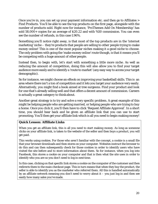Once you're in, you can set up your payment information etc. and then go to Affiliates > Find Products. You'll be able to see the top products on the first page, alongside with the number of products sold. Right now for instance, 'ProThemes Add On Membership' has sold 58,000+ copies for an average of \$20.22 and with %50 commission. You can even see the number of refunds, in this case 1.96%.

Something you'll notice right away, is that most of the top products are in the 'internet marketing' niche – they're products that people are selling to *other people* trying to make money online! This is one of the most popular niches making it a good niche to choose. The only problem with going the 'make money online' route though, is that it means you'll be competing with a huge amount of other people.

Instead then, to begin with, let's start with something a little more niche. As well as reducing the amount of competition, doing this will also allow you to find your target audience more easily and to identify a 'route to market' (any easy way to access your target demographic).

So for instance, we might choose an eBook on improving your basketball skills. This is an area where there isn't a ton of competition and it lets you target your audience very easily. Alternatively, you might find a book aimed at tree surgeons. Find your product and look for one that's already selling well and that offers a decent amount of commission. Careers is actually a great category to think about.

Another great strategy is to try and solve a very specific problem. A great example of this might be helping people who are getting married, or helping people who are trying to buy a home. Once you click it, you'll then have to click 'Request Affiliate Approval'. In a short time, you should hear back and be given an affiliate link that you can use to start promoting. You'll then get your affiliate link which is all you need to begin making money!

#### **Quick Lesson: Affiliate Links**

When you get an affiliate link, this is all you need to start making money. As long as someone clicks on your affiliate link, is taken to the website of the seller and *then* buys a product, you will get paid.

This works using cookies. For those who aren't familiar with the concept, a cookie is a small file that your browser downloads and then stores on your computer. Websites instruct the browser to do this and can then subsequently check for those cookies in order to identify users who have visited the site before and to store information about them. So for instance, when you log into Facebook, this stores a cookie on your computer and that is then what the site uses in order to identify who you are so you don't need to log in next time.

In this case, clicking on that specific link stores a cookie on the computer of the customer and then redirects them to the main checkout page. This in turn means that when they buy the product, the seller is able to identify you as the marketer who referred them. All this is handled automatically by an affiliate network meaning you don't need to worry about it – you just log in and then see easily how many sales you've made.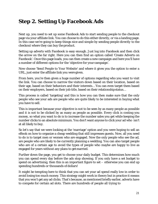#### **Step 2. Setting Up Facebook Ads**

Next up, you need to set up some Facebook Ads to start sending people to the checkout page via your affiliate link. You can choose to do this either directly, or via a landing page. In this case we're going to keep things nice and simple by sending people *directly* to the checkout where they can buy the product.

Setting up adverts with Facebook is easy enough. Just log into Facebook and then click the arrow on the far right. Here you can then find an option called 'Create Adverts on Facebook'. Once this page loads, you can then create a new campaign and here you'll have a number of different options for the 'objective for your campaign'.

Now choose 'Send People to Your Website' and where it gives you the option to enter a URL, just enter the affiliate link you were given.

From here, you're then given a huge number of options regarding who you want to visit the link. You can choose to narrow the visitors down based on their location, based on their age, based on their behaviors and their interests… You can even target them based on their employers, based on their job title, based on their relationshipstatus…

This process is called 'targeting' and this is how you can then make sure that the only people who see your ads are people who are quite likely to be interested in buying what you have to sell.

This is important because your objective is not to be seen by as many people as possible and it is not to be clicked by as many as people as possible. Every click is costing you money, so what you want to do is to increase the number sales you get while keeping the number clicks to an absolute minimum. You *don't* want anyone to click your ad who isn't at all likely to buy.

So let's say that we were looking at the 'marriage' option and you were hoping to sell an eBook on how to organize a cheap wedding that still impresses guests. Now, all you need to do is to target men or women who are engaged. Now the only people who see the ad, are people who are likely to be currently planning a wedding. You can also target people who are of a certain age to avoid the types of people who maybe are happy to live as engaged for years without any plans to getmarried.

Further down the page, you get to choose your daily budget. This determines how much you can spend every day before the ads stop showing. If you only have a set budget to spend on advertising, then this is an important figure to set – otherwise you can end up spending hundreds or thousands of dollars!

It might be tempting here to think that you can set your ad spend really low in order to avoid losing too much money. This strategy might work in theory but in practice it means that you won't get any ad clicks. That's because, as mentioned briefly earlier, adverts have to compete for certain ad slots. There are hundreds of people all trying to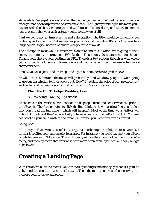show ads to 'engaged couples' and so the budget you set will be used to determine how often your ad shows up instead of someone else's. The higher your budget, the more you'll pay for each click but the more your ad will be seen. You need to spend a certain amount just to ensure that your ad is actually going to show up at all!

Next we get to add an image, a title and a description. The title should be something eye grabbing and something that makes our product sound desirable. It's only 40 characters long though, so you need to be smart with your use ofwords.

The description meanwhile is where we elaborate and this is where we're going to use a smart technique to improve our ROI further. This is only *20* characters long though. Finally, you reiterate your destination URL. There is a 'text section' though as well where you also get to add some information about your site, and you can use a few more characters here.

Finally, you also get to add an image and again our aim here is to grab theeye.

So while the headline and the image will grab the eye and will draw people in, we're going to use our description to filter people out. How? By adding the price of our product front and center and by being very frank about what it is. So forinstance:

#### *Plan The BEST Budget Wedding Ever!*

#### *\$50 Wedding Planning Tips eBook!*

So the reason this works so well, is that it tells people front and center what the price of the eBook is. They're not going to click the link thinking they're getting free tips (unless they don't read the full thing – which will happen). Most of the time, your visitors will only click the link if they're *potentially* interested in buying an eBook for \$50. You just got rid of all your time wasters and greatly improved your profit margin as aresult!

#### *Going Local*

It's up to you if you want to use this strategy but another option to help increase your ROI further is to filter your audience by local area. For instance, you could say that your eBook is only for people in X location. This will greatly reduce the amount of competition you're facing and thereby mean that your ad is seen more often even if you set your daily budget to be lower.

#### <span id="page-21-0"></span>**Creating a Landing Page**

With the above business model, you can start spending some money, you can set your ad to live and you can start earning right away. Then, the more you invest, the more you can increase your revenue and profit.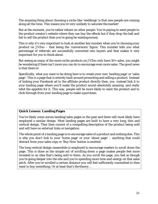The amazing thing about choosing a niche like 'weddings' is that new people are coming along all the time. This means you're very unlikely to saturate themarket!

But at the moment, you're rather reliant on other people. You're paying to send people to the product creator's website where they can buy the eBook but if they drop the ball and fail to sell the product then you're going be wastingmoney.

This is why it's very important to look at another key number when you're choosing your product on JVZoo – that being the 'conversions' figure. This number tells you what percentage of referrals are successfully converted into buyers and that makes it very important for you to think about.

But seeing as many of the more niche products on JVZoo only have 50+ sales, you might be wondering if there isn't more you can do to encourage even more sales. The good news is that there is!

Specifically, what you want to be doing here is to create your own 'landing page' or 'sales page'. This is a page that is entirely built around promoting and selling a product. Instead of linking your Facebook ad to the affiliate product directly then, you instead link it to your landing page where you'll make the product sound absolutely amazing and really whet the appetite for it. This way, people will be more likely to want the product and to click through from your landing page to make apurchase.

#### **Quick Lesson: Landing Pages**

You've likely come across landing/sales pages in the past and there will most likely have employed a similar design. Most landing pages are built to have a very long, thin and vertical design. They then consist of a compelling description of the product being sold and will have no external links or navigation.

The whole point of a landing page is to encourage sales of a product and nothing else. This is why you don't link to your 'home page' or your 'about page' – anything that could distract from your sales copy or 'Buy Now' button is omitted.

The long vertical design meanwhile is employed to encourage readers to scroll down the page. This is done as the simple act of scrolling down a page makes people feel more invested in an idea that's being sold to them. As you scroll the page, you feel as though you're going deeper into the site and you're spending more time and energy on that sales pitch. After you've scrolled a certain distance you will feel sufficiently committed to then want to buy something. Or at least that's the theory…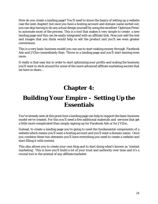How do you create a landing page? You'll need to know the basics of setting up a website (see the next chapter) but once you have a hosting account and domain name sorted out, you can skip having to do any actual design yourself by using the excellent 'Optimize Press' to automate most of the process. This is a tool that makes it very simple to create a new landing page and this can be easily integrated with an affiliate link. Now just add the text and images that you think would help to sell the product and you'll see even greater conversions.

This is a very basic business model you can use to start making money through Facebook Ads and JVZoo immediately then. Throw in a landing page and you'll start earning even more.

It really is that easy but in order to start optimizing your profits and scaling the business you'll want to stick around for some of the more advanced affiliate marketing secrets that we have to share…

## **Chapter 4:**

## <span id="page-23-1"></span><span id="page-23-0"></span>**Building Your Empire – Setting Up the Essentials**

You've already seen at this point how a landing page can help to support the basic business model we've created. For this you'll need a few additional materials and services that get a little more complicated than simply signing up for Facebook Ads or for JVZoo.

Instead, to create a landing page you're going to need the fundamental components of a website which means you'll want a hosting account and you'll want a domain name. Once you combine these two elements you'll have everything you need to create a website and start filling it with content.

This also allows you to create your own blog and to start doing what's known as 'content marketing'. This is how you'll build a lot of your trust and authority over time and it's a crucial tool in the arsenal of any affiliate marketer.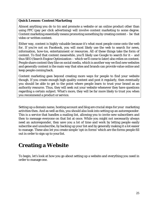#### **Quick Lesson: Content Marketing**

Almost anything you do to try and promote a website or an online product *other* than using PPC (pay per click advertising) will involve content marketing to some degree. Content marketing essentially means promoting something by creating content – be that video or written content.

Either way, content is highly valuable because it's what most people come onto the web *for*. If you're not on Facebook, you will most likely use the web to search for news, information, how-tos, entertainment or resources. All of these things take the form of content. To find that content meanwhile, you'll likely use Google to search for it – and thus SEO (Search Engine Optimization – which we'll come to later) also relies on content. People share content they like on social media, which is another way we find new websites and generally content is the main way that sites and brands can provide value online and keep people coming back.

Content marketing goes beyond creating more ways for people to find your website though. If you create enough high quality content and post it regularly, then eventually you should be able to get to the point where people learn to trust your brand as an authority resource. Thus, they will seek out your website whenever they have questions regarding a certain subject. What's more, they will be far more likely to trust you when you recommend a product or service.

Setting up a domain name, hosting account and blog are crucial steps for your marketing activities then. And as well as this, you should also look into setting up an autoresponder. This is a service that handles a mailing list, allowing you to invite new subscribers and then to message everyone on that list at once. While you might not necessarily always *need* an autoresponder, they save you a lot of time and work by letting people easily subscribe and unsubscribe, by backing up your list and by generally making it a lot easier to manage. These also let you create simple 'opt-in forms' which are the forms people fill out in order to sign up to your list.

#### <span id="page-24-0"></span>**Creating a Website**

To begin, let's look at how you go about setting up a website and everything you need in order to manage one.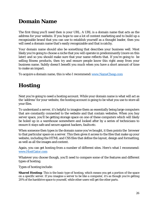#### <span id="page-25-0"></span>**Domain Name**

The first thing you'll need then is your URL. A URL is a domain name that acts as the address for your website. If you hope to use a lot of content marketing and to build up a recognizable brand that you can use to establish yourself as a thought leader, then you will need a domain name that's easily recognizable and that is catchy.

Your domain name should also be something that describes your business well. Most likely you're going to choose a niche that you will operate in predominantly (more on this later) and so you should make sure that your name reflects that. If you're going to be selling fitness products, then try and ensure people know this right away from your business name. Subtly doesn't benefit you much when you have a short amount of time to make an impact.

To acquire a domain name, this is who I recommend: www.NameCheap.com

#### <span id="page-25-1"></span>**Hosting**

Next you're going to need a hosting account. While your domain name is what will act as the 'address' for your website, the hosting account is going to be what you use to store all your files.

To understand a server, it's helpful to imagine them as essentially being large computers that are constantly connected to the website and that contain websites. When you buy server space, you'll be getting storage space on one of these computers which will likely be holed up in a warehouse somewhere and looked after by a series of technicians to ensure it stays safe and secure against hackers, faults etc.

When someone then types in the domain name you've bought, it then points the browser to that particular space on a server. This then gives it access to the files that make up your website, including the HTML and CSS files that define the layout, design and formatting, as well as all the images and content.

Again, you can get hosting from a number of different sites. Here's what I recommend: www.HostGator.com

Whatever you choose though, you'll need to compare some of the features and different types of hosting.

Types of hosting include:

**Shared Hosting:** This is the basic type of hosting, which means you get a portion of the space on a specific server. If you imagine a server to be like a computer, it's as though you're getting 20% of the harddrive space to yourself, while other users will get the other parts.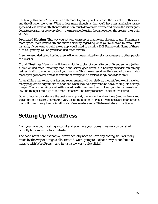Practically, this doesn't make much difference to you – you'll never see the files of the other user and they'll never see yours. What it does mean though, is that you'll have less available storage space and less 'bandwidth' (bandwidth is how much data can be transferred before the server goes down temporarily or gets very slow – the more people using the same server, the greater the strain will be).

**Dedicated Hosting:** This way you get your own server that no one else gets to use. That means more space, more bandwidth and more flexibility regarding what you're allowed to install. For instance, if you want to build a web app, you'll need to install a PHP Framework. Some of these, such as Symfony, will only work on dedicated servers.

In some cases, dedicated hosting users will even be permitted to sell storage space to other people as a reseller.

**Cloud Hosting:** Here you will have multiple copies of your site on different servers (either shared or dedicated) meaning that if one server goes down, the hosting provider can simply redirect traffic to another copy of your website. This means less downtime and of course it also means you get several times the amount of storage and a far less stingy bandwidthlimit.

As an affiliate marketer, your hosting requirements will be relatively modest. You won't have too many people visiting your site at once and when they do, they won't be downloading lots of large images. You can certainly start with shared hosting account then to keep your initial investment low and then just build up to the more expensive and comprehensive solutions over time.

Other things to consider are the customer support, the amount of downtime (read reviews) and the additional features. Something very useful to look for is cPanel – which is a selection of tools that will come in very handy for all kinds of webmasters and affiliate marketers in particular.

#### <span id="page-26-0"></span>**Setting Up WordPress**

Now you have your hosting account and you have your domain name, you canstart actually building your first website.

The good news here, is that you won't actually need to have any coding skills or really much by the way of design skills. Instead, we're going to look at how you can build a website with WordPress – and in just a few very quick clicks!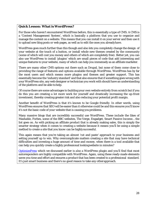#### **Quick Lesson: What isWordPress?**

For those who haven't encountered WordPress before, this is essentially a type of CMS. A CMS is a 'Content Management System', which is basically a platform that you use to organize and manage the content on a website. This means that you can install it on your server and then use it to upload new blog posts or web pages, as well as to edit the ones you alreadyhave.

WordPress goes much further than this though and also lets you completely change the design of your website at the touch of a button, or install whole new themes created by the community (some of which will cost you money and others of which are completely free). Better yet, you can also use WordPress to install 'plugins' which are small pieces of code that add interesting and unique features to your website, many of which can help you immensely as an affiliate marketer.

There are many other CMS options out there such as Drupal, but none of them come close to providing the range of features and options available through WordPress. WordPress has by far the most users and which means more plugins and themes and greater support. This has essentially become the 'industry standard' and that also ensures that if something goes wrong with your WordPress site, any web designer or technician you work with should have an understanding of the platform and be able tohelp.

Of course there are some advantages to building your own website entirely from scratch but if you do this you are creating a lot more work for yourself and drastically increasing the up-front investment, thereby creating greater risk and also reducing your potential profit margin.

Another benefit of WordPress is that it's known to be Google friendly. In other words, using WordPress ensures that SEO will be easier than it otherwise could be and this ensures you'll know it's not the basic code of your website that is causing youproblems.

Many massive blogs that are incredibly successful use WordPress. These include the likes of Mashable, Forbes, some of the BBC websites, The Verge, Engadget, Smart Passive Income… the list goes on. As with picking an affiliate product that is already making sales, this is simply the smarter strategy when it comes to creating a website because it means you'll be using a simple method to create a site that you *know* can be highlysuccessful.

This again means that you're taking an almost 'cut and paste' approach to your business and setting yourself up to win. Why overcomplicate matters creating a site that may have technical difficulties and investing a huge amount of time and money, when there is a tool available that can help you quickly create a highly professional lookingwebsite in minutes?

[OptimizePress](http://bit.ly/2twXapq) which we discussed earlier is *also* a WordPress plugin and you'll find that most autoresponders are highly compatible with WordPress. Again, using these ready-made elements saves you time and effort and ensures a product that has been created to a professional standard. It's just smart business and there's no good reason to take any otherapproach.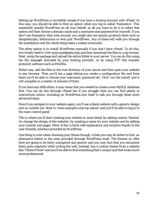Setting up WordPress is incredibly simple if you have a hosting account with cPanel. In this case, you should be able to find an option when you log in called 'Fantastico'. This essentially installs WordPress on all your behalf, so all you have to do is to select that option and then choose a domain name and a username and password for yourself. If you don't see Fantastico then look around, you might also see similar products there such as SimpleScripts, Softaculous or even just 'WordPress'. Any of these will walk you through the installation and the whole thing takes a matter of seconds.

The other option is to install WordPress manually if you don't have cPanel. To do this, you simply need to visi[t www.wordpress.com a](http://www.wordpress.com/)nd then download the files in a zip format. Next, unzip the package and upload the entire folder to your server. You can do this using the file manager provided by your hosting provider, or by using FTP (file transfer protocol) software such as FileZilla.

Either way, add the files to the root directory of your server and then open your website in any browser. Then you'll see a page letting you create a configuration file and from there you'll be able to choose your username, password etc. Click 'run the install' and it will complete in a matter of minutes (if that).

If you have any difficulties, it may mean that you needed to create a new MySQL database first. You can do this through cPanel but if you struggle then you can find plenty of instructions online, including on WordPress.com itself to talk you through these more advanced steps.

Now if you navigate to your website again, you'll see a blank website with a generic design and no content yet. Steer to ['www.example.com/wp-admin'](http://www.example.com/wp-admin) and you'll be able to log in to the main control panel.

This is where you'll start creating your website in more detail by adding custom 'themes' (to change the design of the website), by creating a name for your website and by adding your content and pages. Most of this is fairly self-explanatory and intuitive thanks to the user-friendly interface provided byWordPress.

One thing to note when choosing your theme though, is that you may do better to find an alternative theme to the ones provided through WordPress itself. The themes on offer here are going to be fairly uninspired and generic and you may find that you encounter them quite regularly while surfing the web. Instead, buy a custom theme from a website like 'Theme Forest' and you'll be able to find something that's unique and that looks much more professional.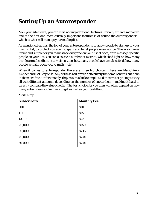#### <span id="page-29-0"></span>**Setting Up an Autoresponder**

Now your site is live, you can start adding additional features. For any affiliate marketer, one of the first and most crucially important features is of course the autoresponder – which is what will manage your mailing list.

As mentioned earlier, the job of your autoresponder is to allow people to sign up to your mailing list, to protect you against spam and to let people unsubscribe. This also makes it nice and simple for you to message everyone on your list at once, or to message specific people on your list. You can also see a number of metrics, which shed light on how many people are subscribing at any given time, how many people have unsubscribed, how many people actually open your e-mails… etc.

When it comes to autoresponder there are three big choices. These are MailChimp, Aweber and GetResponse. Any of these will provide effectively the same benefits but none of them are free. Unfortunately, they're also a little complicated in terms of pricing as they all cost different amounts depending on the number of subscribers – making it hard to directly compare the value on offer. The best choice for you then will often depend on how many subscribers you're likely to get as well as your cash flow.

| <b>Subscribers</b> | <b>Monthly Fee</b> |
|--------------------|--------------------|
| 500                | \$10               |
| 1,000              | \$15               |
| 10,000             | \$75               |
| 20,000             | \$150              |
| 30,000             | \$215              |
| 40,000             | \$240              |
| 50,000             | \$240              |

MailChimp: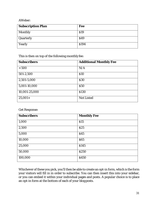AWeber:

| <b>Subscription Plan</b> | <b>Fee</b> |  |
|--------------------------|------------|--|
| <b>Monthly</b>           | \$19       |  |
| Quarterly                | \$49       |  |
| Yearly                   | \$194      |  |

This is then on top of the following monthly fee:

| <b>Subscribers</b> | <b>Additional Monthly Fee</b> |
|--------------------|-------------------------------|
| < 500              | N/A                           |
| 501-2,500          | \$10                          |
| 2,501-5,000        | \$30                          |
| 5,001-10,000       | \$50                          |
| 10,001-25,000      | \$130                         |
| $25,001+$          | <b>Not Listed</b>             |

Get Response:

| <b>Subscribers</b> | <b>Monthly Fee</b> |
|--------------------|--------------------|
| 1,000              | \$15               |
| 2,500              | \$25               |
| 5,000              | \$45               |
| 10,000             | \$65               |
| 25,000             | \$145              |
| 50,000             | \$250              |
| 100,000            | \$450              |

Whichever of these you pick, you'll then be able to create an opt-in form, which is the form your visitors will fill in in order to subscribe. You can then insert this into your sidebar, or you can embed it within your individual pages and posts. A popular choice is to place an opt-in form at the bottom of each of your blogposts.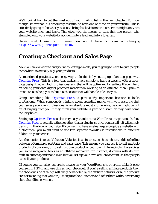We'll look at how to get the most out of your mailing list in the next chapter. For now though, know that it is absolutely essential to have one of these on your website. This is effectively going to be what you use to bring back visitors who otherwise might only see your website once and leave. This gives you the means to turn that one person who stumbled onto your website by accident into a lead and into a loyalfan.

Here's what I use for 10 years now and I have no plans on changing: [http://www.getresponse.com/](http://www.getresponse.com/?a=leokadia)

#### <span id="page-31-0"></span>**Creating a Checkout and Sales Page**

Now you have a website and you're collecting e-mails, you're going to want to give people somewhere to actually *buy* your products.

As mentioned previously, one easy way to do this is by setting up a landing page with [Optimize Press.](http://bit.ly/2twXapq) This is a tool that makes it very simple to build a website with a salespage design that will look professional and that will be optimized for selling. If you intend on selling your own digital products rather than working as an affiliate, then Optimize Press can also help you to build a checkout that will handle sales foryou.

Using something like **[Optimize Press](http://bit.ly/2twXapq)** is particularly important because it looks professional. When someone is thinking about spending money with you, ensuring that your sales page looks professional is an absolute must – otherwise, people might be put off of buying from you if they think your website is part of a scam or may have some security holes.

Setting up [Optimize Press](http://bit.ly/2twXapq) is also very easy thanks to its WordPress integration. In fact, [Optimize Press](http://bit.ly/2twXapq) is actually a theme rather than a plug in, so once you install it it will simply transform the look of your site. If you want to have a sales page alongside a website with a blog then, you might want to use two separate WordPress installations in different folders on your server.

Another option is to use Volusion. Volusion is an interesting choice that straddles the line between eCommerce platform and sales page. This means you can use it to sell multiple products of your own, or to sell just one product of your own. Interestingly, it also gives you some integrated tools as an affiliate marketer: for instance, it comes with its own built-in autoresponder and even lets you set-up your *own* affiliate account so that people can sell *your* products.

Of course you can also just create a page on your WordPress site or create a blank page yourself in HTML and use this as your checkout. If you're selling affiliate products then the checkout side of things will likely be handled by the affiliate network, or by the product creator meaning that you can just acquire the customers and refer them without worrying about handling payment.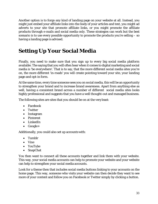Another option is to forgo any kind of landing page on your website at all. Instead, you might just embed your affiliate links into the body of your articles and text, you might ad adverts to your site that promote affiliate links, or you might promote the affiliate products through e-mails and social media only. These strategies can work but the best scenario is to use every possible opportunity to promote the products you're selling – so having a landing page is advised.

#### <span id="page-32-0"></span>**Setting Up Your Social Media**

Finally, you need to make sure that you sign up to every big social media platform available. The saying that you will often hear when it comes to digital marketing and social media is 'be everywhere'. That is to say, that the more different social media sites you're on, the more different 'in-roads' you will create pointing toward your site, your landing page and opt-in form.

At the same time, every time someone sees you on social media, this will be an opportunity to strengthen your brand and to increase brand awareness. Apart from anything else as well, having a consistent brand across a number of different social media sites looks highly professional and suggests that you have a well thought-out and managed business.

The following sites are sites that you should be on at the veryleast:

- Facebook
- Twitter
- Instagram
- Pinterest
- LinkedIn
- Google+

Additionally, you could also set up accounts with:

- Tumblr
- Vine
- YouTube
- SnapChat

You then want to connect all these accounts together and link them with your website. This way, your social media accounts can help to promote your website and your website can help to strengthen your social media accounts.

Look for a theme then that includes social media buttons linking to your accounts on the home page. This way, someone who visits your website can then decide they want to see more of your content and follow you on Facebook or Twitter simply by clicking a button.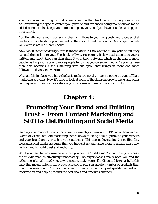You can even get plugins that show your Twitter feed, which is very useful for demonstrating the type of content you provide and for encouraging more follows (as an added bonus, it also keeps your site looking active even if you haven't added a blog post for a while).

Additionally, you should add social sharing buttons to your blog posts and pages so that readers can opt to share your content on *their* social media accounts. One plugin that lets you do this is called 'ShareAholic'.

Now, when someone visits your website and decides they want to follow your brand, they can add themselves to your Facebook or Twitter accounts. If they read something you've written and like it, they can then share it with their network, which might lead to more people visiting your site and more people following you on social media. As you can see then, this becomes a self-sustaining 'virtuous cycle' that brings in more and more followers and visitors over time.

With all this in place, you have the basic tools you need to start stepping up your affiliate marketing activities. Now it's time to look at some of the different growth hacks and other techniques you can use to accelerate your progress and maximize yourprofits…

## **Chapter 4:**

## <span id="page-33-1"></span><span id="page-33-0"></span>**Promoting Your Brand and Building Trust – From Content Marketing and SEO to List Building and Social Media**

Unless you're made of money, there's only so much you can do with PPC advertising alone. Eventually then, affiliate marketing comes down to being able to promote your website and your brand and to reach a wider audience. This means leveraging the mailing list, blog and social media accounts that you have set up and using them to attract more new visitors and to build trust andauthority.

What you need to recognize here is that you are the 'middle man' – and in any business, the 'middle man' is effectively unnecessary. The buyer doesn't really need you and the seller doesn't really need you, so you need to make yourself indispensable to each. In this case, that means helping the product creator to sell a far greater number of products than they otherwise could. And for the buyer, it means providing great quality content and information and helping to find the best deals and products outthere.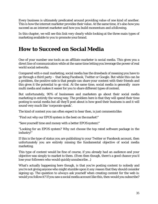Every business is ultimately predicated around providing value of one kind of another. *This* is how the internet marketer provides their value. At the same time, it's also how you *succeed* as an internet marketer and how you build momentum and afollowing.

In this chapter, we will see this link very clearly while looking at the three main types of marketing available to you to promote your brand.

#### <span id="page-34-0"></span>**How to Succeed on Social Media**

One of your number one tools as an affiliate marketer is social media. This gives you a direct line of communication while at the same time letting you leverage the power of real world social networks.

Compared with e-mail marketing, social media has the drawback of meaning you have to go through a third party – that being Facebook, Twitter or Google. But while this can be a problem, the positive side is that people can share your content with their friends and this gives it the potential to go viral. At the same time, social media is generally more multi media and makes it easier for you to share different types of content.

But unfortunately, 90% of businesses and marketers go about their social media marketing in entirely the wrong way. The problem here is that they will spend their time posting to social media but all they'll post about is how good their business is and it will sound very much like 'corporate speak'.

The kind of content you can often expect to hear then, is just comments like:

"Find out why our EPOS system is the best on the market!"

"Save yourself time and money with a better EPOS system!"

"Looking for an EPOS system? Why not choose the top rated software package in the industry!"

If this is the type of status you are publishing to your Twitter or Facebook account, then unfortunately you are entirely missing the fundamental objective of social media marketing.

This type of content would be fine of course, if you already *had* an audience and your objective was simply to market to them. (Even then though, there's a good chance you'd lose your followers who would quicklyunsubscribe…)

What's actually happening here though, is that you're posting content to nobody and you're not giving anyone who might stumble upon it *any* reason that they should consider signing up. The question to *always* ask yourself when creating content for the web is: would *you* follow it? If you saw a social media account like this, then would you subscribe?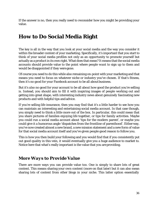If the answer is no, then you really need to reconsider how you might be providing your value.

#### **How to Do Social Media Right**

The key is all in the way that you look at your social media and the way you consider it within the broader context of your marketing. Specifically, it's important that you start to think of your social media profiles not only as an opportunity to promote yourself but actually as a product in its own right. What does that mean? It means that the social media accounts should provide value to the point where people *want* to sign up to them and would be disappointed if they were gone.

Of course you need to do this while also remaining on-point with your marketing and that means you need to focus on whatever niche or industry you've chosen. If that's fitness, then it's no good for your Facebook account to be all about business.

But it's *also* no good for your account to be all about how good the product you're selling is. Instead, you should aim to fill it with inspiring images of people working out and getting into great shape, with interesting industry news about *genuinely* fascinating new products and with helpful tips and advice.

If you're selling life insurance, then you may find that it's a little harder to see how you can maintain an interesting and entertaining social media account. In that case though, you simply need to think a little more out of the box. In particular, this could mean that you share pictures of families enjoying life together, or tips for family activities. Maybe you could run a social media account about 'tips for the modern parent', or maybe you could give it a humorous angle 'dispatches from the frontline of parenthood'. Eitherway, you've now created almost a new brand, a new mission statement and a new form of value for that social media account itself and you've given people good reason to follow you.

*This* is how you then build your following and you would find that if you consistently put out good quality in this vein, it would eventually give you a huge audience to market to. Notice here that what's really important is the value that you are providing.

#### *More Ways to Provide Value*

There are more ways you can provide value too. One is simply to share lots of great content. This means sharing your *own* content (more on that later) but it can also mean sharing lots of content from other blogs in your niche. This latter option essentially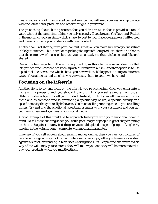means you're providing a curated content service that will keep your readers up to date with the latest news, products and breakthroughs in yourareas.

The great thing about sharing content that you didn't create is that it provides a ton of value while at the same time taking you only seconds. If you browse YouTube and Reddit in the morning, you can simply click 'share' to post to your Facebook page or Twitter feed and thereby provide your audience with great content.

Another bonus of sharing third party content is that you can make sure what you're selling is likely to succeed. This is similar to picking the right affiliate products: there's no chance that the content won't succeed because you can already *see* that it is being read, like and shared.

One of the best ways to do this is through Reddit, as this site has a social structure that lets you see when content has been 'upvoted' (similar to a like). Another option is to use a paid tool like BuzzSumo which shows you how well each blog post is doing on different types of social media and then lets you very easily share to your own blogsand

#### *Focusing on the Lifestyle*

Another tip is to try and focus on the lifestyle you're promoting. Once you enter into a niche with a proper brand, you should try and think of yourself as more than just an affiliate marketer trying to sell your product. Instead, think of yourself as a leader in your niche and as someone who is promoting a specific way of life, a specific activity or a specific activity that you really believe in. You're not selling running shoes – you're selling fitness. Try and find the emotional hook that resonates with your customers and you can get them to become loyal fans of your socialmedia.

A good example of this would be to approach Instagram with your emotional hook in mind. To sell those running shoes, you could post images of people in great shape running on the beach against a sunny backdrop, or you could upload images of people lifting heavy weights in the weight room – complete with motivationalquotes.

Likewise, if you sell eBooks about earning money online, then you can post pictures of people working on fancy looking computers in coffee shops, sitting in hammocks writing against a sunset, or standing in high rises wearing nice suits. People who are drawn to this way of life will enjoy your content, they will follow you and they will be more moved to buy your products when you mention them.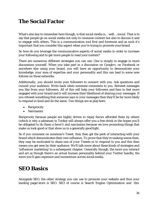### **The Social Factor**

What's also key to remember here though, is that social media is… well… *social*. That is to say that people go on social media not only to consume content but also to discuss it and to engage with others. This is a communication tool first and foremost and as such it's important that you consider this aspect when you're trying to promote yourbrand.

So how do you leverage the communicative aspects of social media in order to increase your following and to get more people to read your content?

There are numerous different strategies you can use. One is simply to engage in more discussions yourself. When you take part in a discussion on Google+, on Facebook or anywhere else using your brand, you will have an opportunity to demonstrate your knowledge, your area of expertise and your personality and this can lead to some new follows on those networks.

Additionally, you should invite your followers to connect with you. Ask questions and consult your audience. Write back when someone comments to you. Retweet messages you like from your followers. All of this will help your followers and fans to feel more engaged with your brand and it will increase their likelihood of sharing *your* messages. If you retweet something that someone says in your messages then they'll be far more likely to respond in kind and do the same. Two things are at playhere:

- Reciprocity
- Narcissism

Reciprocity because people are highly driven to repay favors afforded them by others (which is why a salesman in Turkey will always offer you a free drink in the hopes you'll be obligated to do them a favor!) and narcissism because we love promoting things that make us look good or that show us in a generally good light.

So if you comment on someone's Tweet, they then get the perk of interacting with your brand which demonstrates their own influence. To prove that they're making waves then, they may be motivated to share one of *your* Tweets or to respond to you and this then means you get seen by their audience. We'll talk more about these kinds of strategies and 'influencer marketing' in a subsequent chapter. Generally though, the more you interact and act as though there's an actual human personality behind your Twitter handle, the more you'll gain exposure and momentum across socialmedia.

### **SEO Basics**

Alongside SEO, the other strategy you can use to promote your website and thus your landing page/store is SEO. SEO of course is Search Engine Optimization and this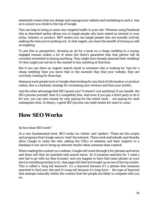essentially means that you design and manage your website and marketing in such a way as to ensure you climb to the top of Google.

This can help to bring in some very targeted traffic to your site. Whereas using Facebook Ads as described earlier allows you to target people who have stated an interest in your niche, industry or product. SEO means you can target people who are actually *actively seeking* the item you're putting out. In that regard, you have the benefit of *timing* as well as targeting.

To put this in perspective, showing an ad for a book on a cheap wedding to a young, engaged woman makes a lot of sense but there's guarantee that that person will be currently interested in buying anything. They might have already planned their wedding! Or they might just not be in the market to buy anything at thattime.

But if you can show an organic search result to someone who is looking for 'tips for a cheap wedding' then you know that in the moment they find your website, they are *currently* looking for those tips.

Seeing as most people turn to Google when looking for any kind of information or product online, this is a fantastic strategy for increasing your revenue and thus your profits.

And the other advantage that SEO grants you? It doesn't cost anything! If you handle the SEO process yourself, then it's completely free. And even if you pay a third party to do it for you, you can save money by only paying for the initial work – not paying for each subsequent click. In theory, a good SEO process can yield results for years to come.

## **How SEO Works**

#### So how does SEO work?

At a very fundamental level, SEO works via 'robots' and 'spiders'. These are the scripts and programs that Google uses to 'read' the internet. These work individually and thereby allow Google to index the web, adding the URLs of websites and their subjects to a database it can use to bring up relevant results when someone does asearch.

When reading the content on a website, Google will comb through it for phrases and terms and these will then be matched with search terms. So if someone searches for 'I need a new hat to go with my blue trousers' and you happen to have that exact phrase on your site (or something similar to it), that page will then be brought up as one of the top results. This is called a 'long tail keyword'; it's a keyword because it's a phrase that someone searched to find your site and it's long tail because it's long-form – the type of keyword that emerges naturally within the content that few people are likely to compete with you on.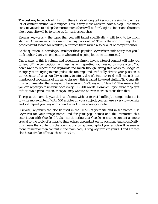The best way to get lots of hits from these kinds of long-tail keywords is simply to write a *lot* of content around your subject. This is why most websites have a blog – the more content you add to a blog the more content there will be for Google to index and the more likely your site will be to come up for various searches.

Regular keywords – the types that you will target specifically – will tend to be much shorter. An example of this would be 'buy hats online'. This is the sort of thing *lots* of people would search for regularly but which there would also be a lot of competitionfor.

So the question is: how do you rank for these popular keywords in such a way that you'll rank *higher* than the competition who are also going for these sameterms?

One answer to this is volume and repetition: simply having a *ton* of content will help you to fend off the competition with less, as will repeating your keywords more often. You don't want to repeat those keywords too much though: doing this looks to Google as though you are trying to manipulate the rankings and artificially elevate your position at the expense of great quality content (content doesn't tend to read well when it has hundreds of repetitions of the same phrase – this is called 'keyword stuffing'!). Generally it is recommended that a keyword have around 1-2% keyword 'density'. This means that you can repeat your keyword once every 100-200 words. However, if you want to 'play it safe' to avoid penalization, then you may want to be even more cautious than that.

To repeat the same keywords lots of times without fear of 'stuffing', a simple solution is to write *more* content. With 100 articles on your subject, you can use a very low density and still repeat your keywords hundreds of times across your site.

Likewise, keywords can also be used in the HTML of your site and in file names. Use keywords for your image names and for your page names and this reinforces that association with Google. It's also worth noting that Google sees some content as more crucial to the topic of a website than others dependent on its position. And specifically, this means that content in the opening or closing paragraph of your article will be seen as more influential than content in the main body. Using keywords in your H1 and H2 tags also has a similar effect as these are titles.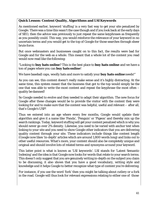#### **Quick Lesson: Content Quality, Algorithms and LSI Keywords**

As mentioned earlier, keyword 'stuffing' is a very fast way to get your site penalized by Google. There was a time this wasn't the case though and if you look back at the early days of SEO, then the advice was previously to just repeat the same keyphrases as frequently as you possibly could. This way, you would reinforce the relevance of your keyword in no uncertain terms and you would get to the top of Google for those searches through sheer brute force.

But once webmasters and businesses caught on to this fact, the results were bad for Google and for the web as a whole. This meant that a whole lot of the content you read would now read like the following:

"Looking to **buy hats online**? This is the best place to **buy hats online** and we have a ton of pages where you can **buy hats online**!

We have baseball caps, woolly hats and more to satisfy your **buy hats online**needs!"

As you can see, this content doesn't really make sense and it's highly distracting. At the same time, this system meant that the business that got to the top would simply be the one that was able to write the most content and repeat the keyphrase the most often – quality be damned!

So Google needed to evolve and they needed to adapt their algorithm. The new focus for Google after these changes would be to provide the visitor with the content they were looking for and to make sure that the content was helpful, useful and relevant – after all, that's Google's USP!

Thus we entered into an age where every few months, Google would update their algorithm and give it a name like 'Panda', 'Penguin' or 'Pigeon' and thereby mix up the search rankings. Today, keyword stuffing will get your content penalized which is why you should never go over 2% density. Likewise, you need to be varied with anchor text when linking *to* your site and you need to show Google other indicators that you are delivering quality content through your site. These indicators include things like content length (Google now likes 'in-depth' articles which are around 1,800 words long) and links out to other useful resources. What's more, your content should also be completely unique and original and should involve lots of related terms and synonyms *around* your keyword.

This latter point is what is known as 'LSI keywords'. LSI stands for 'Latent Semantic Indexing' and the idea is that Google now looks for words that relate to your search terms. This doesn't only suggest that you are genuinely writing in-depth on the subject you claim to be discussing, it also shows that you have a good vocabulary, writing style and knowledge *and* it helps Google to better recognize what type of content you're delivering.

For instance, if you use the word 'fork' then you might be talking about cutlery or a fork in the road. Google will thus look for relevant expressions relating to either one of those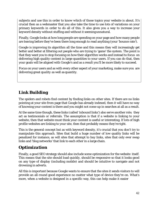subjects and use this in order to know *which* of those topics your website is about. It's crucial then as a webmaster that you also take the time to use lots of variations on your primary keywords in order to do all of this. It also gives you a way to increase your keyword density without stuffing and without it seemingunnatural.

Finally, Google looks at how long people are spending on your page and how many people are leaving before they've been there long enough to read anything (your 'bounce rate').

Google is improving its algorithm all the time and this means they will increasingly get better and better at filtering out people who are trying to 'game' the system. The point is that they want you to stop focusing on how their algorithm works and instead to focus on delivering high quality content in large quantities to your users. If you can do that, then your goals will be aligned with Google's and as a result you'll be more likely to succeed.

Focus on your users and as with every other aspect of your marketing, make sure you are delivering great *quality* as well as quantity.

### *Link Building*

The spiders and robots find content by finding links on other sites. If there are no links pointing at your site from page that Google has already indexed, then it will have no way of knowing your content is there and you might not come up in searches at all as a result.

At the same time though, these links (called 'inbound links') also serve another role; they act as testimonials or referrals. The assumption is that if a website is linking to your website, then that website must think your content is useful or interesting. If lots of high profile websites are linking to your site, then that probably means they're*right*.

This is the general concept but as with keyword density, it's crucial that you don't try to manipulate this approach. Sites that build a huge number of low quality links will be penalized for instance, as will sites that attempt to buy links, sites that only ever swap links and 'blog networks' that link to each other in a large chain.

#### *Optimization*

Finally, a good SEO strategy should also include some optimization for the website itself. This means that the site should load quickly, should be responsive so that it looks good on any type of display (including mobile) and should be intuitive to navigate and not drowning in adverts.

All this is important because Google wants to ensure that the sites it sends visitors to will provide an all-round good experience no matter what type of device they're on. What's more, when a website is designed in a specific way, this can help make it easier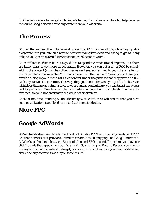for Google's spiders to navigate. Having a 'site map' for instance can be a big help because it ensures Google doesn't miss any content on your wider site.

## **The Process**

With all that in mind then, the general process for SEO involves adding lots of high quality blog content to your site on a regular basis including keywords and trying to get as many links as you can on external websites that are relevant toyours.

As an affiliate marketer, it's not a good idea to spend *too* much time doing this – as there are faster ways to get more direct traffic. However, you can get a lot of ROI by simply adding the content (which has other uses as we'll see) and aiming to get links on a few of the larger blogs in your niche. You can achieve the latter by using 'guest posts'. Here, you provide a blog in your niche with free content under the proviso that they provide a link back to your website in return. This way, they get free content and you get free links. Start with blogs that are at a similar level to yours and as you build up, you can target the bigger and bigger sites. One link on the right site can potentially completely change your fortunes, so don't underestimate the value of this strategy.

At the same time, building a site effectively with WordPress will ensure that you have good optimization, rapid load times and a responsivedesign.

# **More PPC**

## **Google AdWords**

We've already discussed how to use Facebook Ads for PPC but this is only one type of PPC. Another network that provides a similar service is the highly popular 'Google AdWords'. AdWords is like a mix between Facebook Ads and SEO, essentially letting you pay 'per click' for ads that appear on specific SERPs (Search Engine Results Pages). You choose the keywords that you intend to target, pay for an ad and then have your results show just above the organic results as a 'sponsored result'.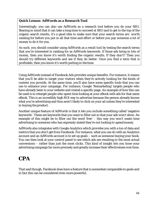#### **Quick Lesson: AdWords as a Research Tool**

Interestingly, you can also use AdWords as a research tool before you do your SEO. Bearing in mind that it can take a long time to succeed at SEO and to get to the top of the organic search results, it's a good idea to make sure that your search terms are *worth*  ranking for before you put in all that time and effort or before you pay someone a lot of money to do it for you.

As such, you should consider using AdWords as a result tool by testing the search terms that you're interested in ranking for as AdWords keywords. If those ads bring in lots of money, then you know it's worth finding the organic results. If they don't? Then you should try different keywords and see if they do better. Once you find a term that is profitable, *then* you know it's worth putting in the time.

Using AdWords instead of Facebook Ads provides unique benefits. For instance, it means that you'll be able to target your visitors when they're actively looking for the kinds of content you provide. At the same time, you'll also have some specific tools that you can use to enhance your campaign. For instance, Google 'Remarketing' targets people who have already been to your website and visited a specific page. An example of how this can be used is to retarget people who spent time looking at your eBook with ads for that same eBook. This is an incredibly high ROI way to advertise because the person already knows what you're advertising and thus aren't likely to click on your ad unless they're interested in buying the product.

Another unique feature of AdWords is that it lets you include something called 'negative keywords'. These are keywords that you want to filter out so that your ads *won't* show. An example of this might be to filter out the word 'free' – this way you won't waste time advertising to someone who has expressly stated they're not looking to spendmoney.

AdWords also integrates with Google Analytics which provides you with a ton of data and metrics that you don't get from Facebook. For instance, what you can do with an Analytics account and an AdWords account is to set up goals – such as someone buying your book. You can then look at your control panel to see which ads are resulting in the most actual conversions – rather than just the most clicks. This kind of insight lets you hone your advertising campaign far more precisely and greatly increase their effectiveness over time.

### **CPA**

That said though, Facebook does have a feature that is somewhat comparable to goals and in fact this can be considered even more powerful.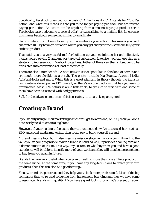Specifically, Facebook gives you some basic CPA functionality. CPA stands for 'Cost Per Action' and what this means is that you're no longer paying per click, but are instead paying per *action*. An action can be anything from someone buying a product (or in Facebook's case, redeeming a special offer) or subscribing to a mailing list. In essence, this makes Facebook somewhat similar to an affiliate!

Unfortunately, it's not easy to set up affiliate sales *as* your action. This means you can't guarantee ROI by having a situation where you only get charged when someone buys your affiliate product.

That said, this is a very useful tool for building up your mainlining list and effectively means you're paying X amount per targeted subscriber. Likewise, you can use this as a strategy to increase your Facebook page likes. Either of these can then subsequently be translated into conversions at least theoretically.

There are also a number of CPA sites networks that specialize in this kind of service and are much more flexible as a result. These sites include MaxBounty, Ascend Media, AdWorkMedia and more. While this is a great platform in theory though, the industry isn't quite as developed as PPC overall, so there's no one platform that has yet risen to prominence. Most CPA networks are a little tricky to get into to start with and some of them have been associated with dodgy practices.

Still, for the advanced marketer, this is certainly an area to keep an eyeon!

## **Creating a Brand**

If you're only using e-mail marketing (which we'll get to later) and/or PPC, then you don't necessarily need to create a big brand.

However, if you're going to be using the various methods we've discussed here such as SEO and social media marketing, then it can pay to build yourself abrand.

A brand means a logo but it also means a mission statement – or a commitment to the value you're going to provide. When a brand is handled well, it provides a calling card and a demonstration of intent. This way, any customers who buy from you and have a good experience will be able to identify more of your work and they will thus be more inclined to buy from you again in future.

Brands then are *very* useful when you plan on selling more than one affiliate product in the same niche. At the same time, if you have any long-term plans to create your own products, then this can also be a goodstrategy.

Finally, brands inspire trust and they help you to look more professional. Most of the big companies that we're used to buying from have strong branding and thus we have come to associated brands with quality. If you have a great looking logo that's present on your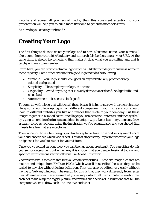website and across all your social media, then this consistent attention to your presentation will help you to build more trust and to generate more sales thus.

So how do you create your brand?

## **Creating Your Logo**

The first thing to do is to create your logo and to have a business name. Your name will likely come from your niche/industry and will probably be the same as your URL. At the same time, it should be something that makes it clear what you are selling and that is catchy and easy to remember.

From here, you can start creating a logo which will likely include your business name in some capacity. Some other criteria for a good logo include thefollowing:

- Versatile Your logo should look good on any website, any product or any colored background
- Simplicity The simpler your logo, the better
- Originality Avoid anything that is overly derivative or cliché. No lightbulbs and no globes!
- Attractiveness It needs to look good!

To come up with a logo that will tick all these boxes, it helps to start with a research stage. Here, you should look up logos from different companies in your niche and you should look up different websites you like and images that relate to your company. Put these images together in a 'mood board' or collage (you can even use Pinterest) and then spitball by trying to combine the images and ideas in unique ways. Don't leave anything out, draw as many logos as you can, using the inspiration you've accumulated and you should find it leads to a few that are acceptable.

Then, once you have a few designs you find acceptable, take those and survey members of your audience to see which works best. This last stage is very important because your logo design isn't *for* you but rather for your visitors.

Once you've settled on your logo, you can then go about creating it. You can either do this yourself or outsource it but either way it is critical that you use professional tools – and specifically this means vector software like Adobe Illustrator.

Vector software is software that lets you create 'vector files'. These are image files that are distinct and unique from BMPs or PNGs (which we call 'raster files') because they can be scaled to any size without losing definition. They can also be edited very easily without having to 'rub anything out'. The reason for this, is that they work differently from raster files. Whereas raster files are essentially pixel maps which tell the computer where to draw each dot to make up the bigger picture, vector files are a series of instructions that tell the computer where to draw each line or curve and what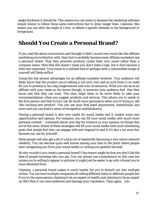angle/thickness it should be. This means you can zoom in because the rendering software simply knows to follow those same instructions but to draw longer lines. Likewise, this means you can alter the angle of a line, or delete a specific element in the background or foreground.

### **Should You Create a Personal Brand?**

If you read the above instructions and thought it didn't sound very much like the affiliate marketing you're familiar with, then that is probably because most affiliate marketers use a personal brand. That they promote products under their *own* name rather than a company name. Note that this doesn't mean you *don't* need a logo, but it does become a little less important. Your name in a stylized font or perhaps with a cartoonified image of yourself will likely suffice.

Going this has several advantages for an affiliate marketer however. Your audience will likely know that the product you're selling is not your own and as such there is no need for you to pretend to be a big conglomerate with tons of resources. What you *can be* as an affiliate with your name as the brand though, is someone your audience feel that they know and that they can trust. This then helps them to be more likely to take your recommendations when you suggest products and services. This allows you to speak in the first person and that in turn can be much more persuasive when you're trying to sell 'this exciting new product'. You can use your first hand experiences, testimonials and more and you can build a sense of recognition andfamiliarity.

Having a personal brand is also very useful for social media and it creates some new opportunities and options. For instance, you can fill your social media with much more personal content – comments about your day for instance or your opinion on things that are in the news. Either of these strategies will fill your social media with more interesting posts that people feel they can engage with and respond to and it it's also a lot more fun because you can be 'yourself'.

Some people will also get a bit of a kick out of essentially becoming a very minor internet celebrity. You can become quite well known among your fans to the point where people start recognizing you from your social media or writing you grateful fanmail.

So why *wouldn't* you create a personal brand? One reason might be that you don't *like* the idea of people knowing who you are. You can always use a pseudonym in this case but unless you're willing to appear in pictures it might just be easier to go with a brand you're more detached from.

Likewise, a personal brand makes it much harder for you to branch out into multiple niches. You can have multiple companies all selling different items to different people but if you're the same person claiming to be an expert on health *and* claiming to be an expert on SEO then it can raise eyebrows and damage your reputation. Then again, you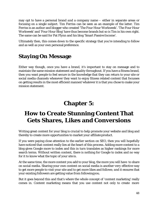may opt to have a personal brand *and* a company name – either in separate areas or focusing on a single subject. Tim Ferriss can be seen as an example of the latter. Tim Ferriss is an author and blogger who created 'The Four Hour Workweek'. 'The Four Hour Workweek' and 'Four Hour Blog' have thus become brands but so is Tim in his own right. The same can be said for Pat Flynn and his blog 'Smart Passive Income'.

Ultimately then, this comes down to the specific strategy that you're intending to follow and as well as your own personal preference.

## **Staying On Message**

Either way though, once you have a brand, it's important to stay on message and to maintain the same mission statement and quality throughout. If you have a fitness brand, then you want people to feel secure in the knowledge that they can return to your site or social media channels whenever they want to enjoy fitness related content that focusses on getting results in the most efficient manner/whatever it is that you chose to make your mission statement.

# **Chapter 5:**

# **How to Create Stunning Content That Gets Shares, Likes and Conversions**

Writing great content for your blog is crucial to help promote your website and blog and thereby to create more opportunities to market your affiliate product.

If you were paying close attention to the earlier section on SEO, then you will hopefully have noticed that content really lies at the heart of this process. Adding more content to a blog gives Google more to index and this in turn translates as higher rankings for more search terms. Without written content, there is nothing for Google to index and no way for it to know what the topic of your site is.

At the same time, the more content you add to your blog, the more you will have to share on social media. Sharing your own content on social media is another *very* effective way to get more people to visit your site and to get more likes and follows; *and* it ensures that your existing followers are getting value from followingyou.

But it goes beyond this and that's where the whole concept of 'content marketing' really comes in. Content marketing means that you use content not only to create more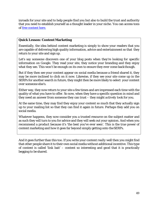inroads for your site and to help people find you but also to build the trust and authority that you need to establish yourself as a thought leader in your niche. You can access tons of free content here.

#### **Quick Lesson: Content Marketing**

Essentially, the idea behind content marketing is simply to show your readers that you are capable of delivering high quality information, advice and entertainment so that they return to your site and sign up.

Let's say someone discovers one of your blog posts when they're looking for specific information on Google. They read your site, they notice your branding and they enjoy what they see. This won't be enough on its own to ensure they ever come back though.

But if they then see your content appear on social media because a friend shared it, they may be more inclined to click on it now. Likewise, if they see your site come up in the SERPs for another search in future, they might then be more likely to select your content over someone else's.

Either way, they now return to your site a few times and are impressed each time with the quality of what you have to offer. So now, when they have a specific question in mind and they need an answer from someone they can trust – they might *actively* look for you.

At the same time, they may find they enjoy your content so much that they actually sign up to your mailing list so that they can find it again in future. Perhaps they add you on social media.

Whatever happens, they now consider you a trusted resource on the subject matter and as such they will turn to you for advice and they will seek out your opinion. And when you recommend a product because it's 'the best you've ever seen'. *This* is the true power of content marketing and how it goes far beyond simply getting onto theSERPs.

And it goes further than this too. If you write your content *really* well then you might find that *other* people share it to their own social media without additional incentive. This type of content is called 'link bait' – content so interesting and good that it is practically begging to be shared.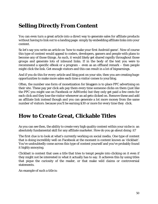## **Selling Directly From Content**

You can even turn a great article into a direct way to generate sales for affiliate products *without* having to link out to a landing page: simply by embedding affiliate links into your content.

So let's say you write an article on 'how to make your first Android game'. Now of course this type of content would appeal to coders, developers, gamers and people with plans to become any of those things. As such, it would likely get shared rapidly throughout those groups and generate lots of inbound links. If in the body of the text you were to recommend a specific eBook or a program – even as an offhand remark – then people might click the link. Get enough visitors and this can result in a lot of bigearnings.

And if you do this for *every* article and blog post on your site, then you are creating *huge* opportunities to make more sales each time a visitor comes to yourblog.

Often, the number one form of monetization for bloggers is to place PPC advertising on their site. These pay per click ads pay them every time someone clicks on them (just like the PPC you might use on Facebook or AdWords) but they only get paid a few cents for each click and they lose the visitor whenever an ad gets clicked on. Remove these and add an affiliate link instead though and you can generate a *lot* more money from the same number of visitors: because you'll be earning \$30 or more for every time they click.

### **How to Create Great, Clickable Titles**

As you can see then, the ability to create very high quality content within your niche is an absolutely fundamental skill for any affiliate marketer. How do you go about doing it?

The first clue is to look at what's currently working on social media. One type of content that is doing incredibly well on Facebook at the moment is content known as 'clickbait'. You've undoubtedly come across this type of content yourself and you've probably found it highly annoying.

Clickbait is content that uses a title that tries to tempt people into clicking on it even if they might not be interested in what it actually has to say. It achieves this by using titles that pique the curiosity of the reader, or that make wild claims or controversial statements.

An example of such a title is: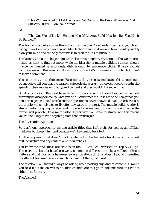*"This Woman Wouldn't Let Her Friend Sit Down on the Bus – When You Find Out Why, It Will Blow Your Mind!"*

#### Or

#### *"This One Weird Trick Is Helping Men Of All Ages Build Muscle – But Should It Be Banned?"*

The first article pulls you in through curiosity alone. As a reader, you rack your brain trying to work out why a woman wouldn't let her friend sit down and how it could possibly blow your mind and the only recourse is to click the link to findout.

The latter title makes a huge claim while also remaining very mysterious. The 'weird' trick makes us want to find out more, while the idea that a muscle building strategy should maybe be banned is also outlandish enough to encourage clicks. It also sounds controversial and this means that even if you suspect it's nonsense, you might click it just to leave a comment.

You see these titles *all* the time on Facebook and other social media and this alone should be enough to tell you that the strategy categorically *works* – otherwise people wouldn't be spending their money on that type of content and they wouldn't keep writing it.

But it only works in the short term. When you click on any of these titles, you will almost certainly be disappointed by what you find. Sometimes the links are so ad heavy that you don't even get an actual article and the question is never answered at all. In other cases, the article will simply not really offer any value or interest. The muscle building trick is almost certainly going to be a landing page for some kind of scam product, while the former will probably be a weird video. Either way, you leave frustrated and this means you're less likely to read anything from that brand again.

#### *The Alternative Approach*

So that's one approach to writing article titles that isn't right for you as an affiliate marketer but keep it in mind because we'll be coming back to it.

Another approach that *doesn't* work is what a lot of other websites do: which is to post dull, derivative and dry content on a regular basis.

You know the kind: these are articles on the '10 Best Pec Exercises' or 'Top SEO Tips'. These are articles that have been written a *million* different times by a *million* different writers and that most of us have read several iterations of. It just doesn't sound interesting or different because there's so much content out there just like it.

The question you should *always* be asking when posting any kind of content is: would *you* read it? If the answer is no, then chances are that your audience wouldn't read it either – so forget it!

*The Answer!*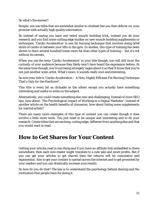So what's the answer?

Simple: you use titles that are somewhat similar to clickbait but you then *deliver* on your promise with actually high quality information.

So instead of saying you have one weird muscle building trick, instead you do your research and you find some cutting edge studies on new muscle building supplements or techniques. 'Cardio Acceleration' is one fat burning technique that involves doing brief stints of cardio in between your lifts in the gym. In studies, this type of training has been shown to burn several hundred times more fat than other types of training – but it's not without its caveats.

When you use the term 'Cardio Acceleration' in your title though, you will still incur the curiosity of your audience because they likely won't have heard the expression before. At the same time though, you're not being strangely vague about it so they'll know that you're not just another scam artist. What's more, it sounds really *cool* andinteresting.

So now your title is 'Cardio Acceleration – A New, Highly Efficient Fat Burning Technique That's Only for the Hardcore!'.

This title is every *bit* as clickable as the others except you actually have something interesting and useful to write on the subject.

Alternatively, you could create something else new and challenging. Instead of more SEO tips, how about: 'The Psychological Impact of Working as a Digital Marketer'. Instead of another article on the health benefits of cinnamon, how about listing some supplements for martial artists?

There are many more examples of this type of content you can create though it does involve a little more work. You just need to be unique and interesting and to do your research. Create titles that are exciting, cutting edge, different from anything else and that *you* would want to read.

### **How to Get Shares for Your Content**

Getting your articles read is one thing and if you have an affiliate link embedded in there somewhere, then each new reader might translate to a new sale and more profits. But if you can get your articles to get *shared* then the returns will be cumulative and exponential. Aim to get your content to spread across the internet and to get promoted by your readers and you can drastically increase your results.

So how do you do that? The key is to understand the psychology behind sharing and the motivation that people have for doing it.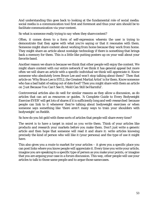And understanding this goes back to looking at the fundamental role of social media: social media is a communication tool first and foremost and thus your aim should be to facilitate communication *via* your content.

So what is someone really trying to *say* when they share content?

Often, it comes down to a form of self-expression wherein the user is trying to demonstrate that they agree with what you're saying or that it resonates with them. Someone might share content about working from home because *they* work from home. They might share an article about nostalgic technology if there is something that brings back a memory for them. This is a little like putting posters up on your wall about your favorite band.

Another reason we share is because we think that other people will enjoy the content. We might share content with our entire network if we think it has general appeal but more often we will share an article with a specific individual we think will appreciate it. Know someone who absolutely loves Bruce Lee and won't stop talking about them? Then that article on 'Why Bruce Lee is STILL the Greatest Martial Artist' is for them. Know someone who has a bad habit of eating out of date food? Then you might share with them an article on 'Just Because You Can't See It, Mold Can Still beHarmful'.

Controversial articles also do well for similar reasons as they allow a discussion, as do articles that can act as resources or guides. 'A Complete Guide to Every Bodyweight Exercise EVER' will get lots of shares if it is sufficiently long and well-researched because people can link to it whenever they're talking about bodyweight exercises or when someone says something like 'there aren't many ways to train your shoulders with bodyweight' on Reddit.

So how do you hit gold with these sorts of articles that people will share every time?

The secret is to have a target in mind *as you write them*. Think of your articles like products and research your markets before you make them. Don't just write a generic article and then hope that someone will read it and share it: write articles knowing precisely the kind of person who will like it (your persona) and the type of use it might have.

This also gives you a route to market for your articles – it gives you a specific place you can post links where you know people will appreciate it. Every time you write your article, imagine you are speaking to a specific type of person as you make your points, or imagine that you are arguing your case in a forum discussion. This way, other people will use your articles to talk to those same people and to argue those samecases.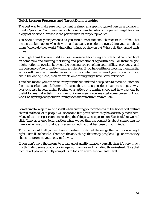#### **Quick Lesson: Personas and Target Demographics**

The best way to make sure your content is aimed at a specific type of person is to have in mind a 'persona'. Your persona is a fictional character who is the perfect target for your blog post or article, or who is the perfect market for your product.

You should treat your personas as you would treat fictional characters in a film. That means thinking about who they are and actually considering everything you can about them. Where do they work? What other things do they enjoy? Where do they spend their time?

You might think this sounds like excessive research for a single article but it can shed light on some new and exciting marketing and promotional opportunities. For instance, you might notice an overlap between the persona you're selling your affiliate product to and the persona you're currently writing articles for. If you have a fitness website, then martial artists will likely be interested in some of your content and some of your products. If you are in the dating niche, then an article on clothing might have some relevance.

This then means you can cross over your niches and find new places to recruit customers, fans, subscribers and followers. In turn, that means you don't have to compete with everyone else in your niche. Posting your article on running shoes and how they can be useful for martial artists in a running forum means you may get some buyers but you won't be fighting every other running shoe manufacturer andaffiliate.

Something to keep in mind as well when creating your content with the hopes of it getting shared, is that a lot of people will share and like posts *before* they have actually read them! Many of us never get round to reading the things we see posted on Facebook but we will click 'Like' as a knee-jerk reaction when we see that the content is about something we like or when we think that it expresses something that has been on our minds.

This then should tell you just how important it is to get the image that will show along it right, as well as the title. *These* are the only things that many people will go on when they choose to promote your content for you.

If you don't have the means to create great quality images yourself, then it's very much worth finding some good stock images you can use and including those instead. Note that pictures of people actually compel us to look on a very fundamentallevel.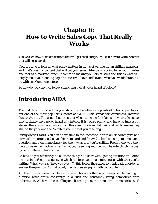# **Chapter 6: How to Write Sales Copy That Really Works**

You've seen how to create content that will get read and you've seen how to write content that will get *shared*.

Now it's time to look at what *really* matters in terms of writing for an affiliate marketer: and that's creating content that will get your sales. Sales copy is going to be your number one tool as a marketer when it comes to making you lots of sales and this is what will largely make your landing pages so effective above and beyond what you would be able to do with an eCommerce store.

So how do you convince to buy something they'd never heard of before?

## **Introducing AIDA**

The first thing to start with is your structure. Here there are plenty of options open to you but one of the most popular is known as 'AIDA'. This stands for 'Awareness, Interest, Desire, Action'. The general point is that when someone first lands on your sales page, they probably have never heard of whatever it is you're selling and have no interest in staying there. You have to work from this assumption and hit hard and fast to ensure they stay on the page and they're interested in what you're selling.

Subtly doesn't work. You don't have time to reel someone in with an elaborate yarn and so what's important is that you hit them hard and fast with a bold opening statement or a question and then *immediately* tell them what it is you're selling. From there, you then have to make them actually want what you're selling and then you have to clinch the deal by getting them to take action.

So how do you effectively do all those things? To start with, getting attention will often mean using a rhetorical question which will force your readers to engage with what you're writing. When you say 'have you ever…?', this forces the reader to think back in order to answer the question. At that point, they're then engaging with your content.

Another tip is to use a narrative structure. This is another way to keep people reading in a world when we're constantly in a rush and constantly being bombarded with information. We have been telling and listening to stories since time immemorial, so if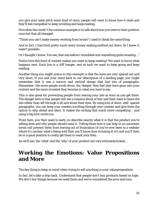you give your sales pitch some kind of story, people will want to know how it ends and they'll feel compelled to keep scrolling and keepreading.

How does this work? One common example is to talk about how you were in their position once but that all changed:

"Think you can't make money working from home? I used to think the same thing.

And in fact, I had tried pretty much every money making method out there. So I *knew* it wasn't possible.

Or I *thought* I knew. You see, that was before I stumbled onto something quite amazing…"

Notice how this kind of content makes you want to keep reading? We want to know what happens *next*. Each line is a cliff hanger, and as such we want to keep going and keep reading.

Another thing you might notice in this example is that the lines are very spaced out and very short. If you cast your mind back to our description of a landing page, you might remember that it was a narrow and vertical design that had lots of paragraphs. Remember: the more people scroll down, the 'deeper' they feel they have gone into your content and the more invested they become in what you have to say.

This is also great for preventing people from leaving your site as soon as you get there. The danger here is that people will see a massive block of text and then want to leave the site rather than sift through it all and strain their eyes. By using lots of short, well- spaced paragraphs, you can keep your readers scrolling through your content and give them the option to skip ahead and skim. It makes the writing that much more compelling – and using a big font works too.

From here, you then need to early on describe exactly what it is that the product you're selling does and why people should want it. Telling them how it can help in no uncertain terms will prevent them from leaving out of frustration (if you've ever been to a website where it's unclear what's being sold then you'll know how irritating it is!) and you'll then be in a good position to really get them to want your item.

As we'll see, the 'what' and the 'why' of your product are very intimatelylinked…

## **Working the Emotions: Value Propositions and More**

The key thing to keep in mind when trying to sell *anything* is your valueproposition.

In fact, let's take a step back. Understand that people don't buy products based on logic. We don't buy things because we need them and we've considered the pros and cons.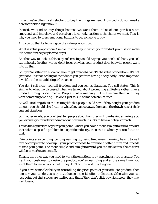In fact, we're often most reluctant to buy the things we need. How badly do you need a new toothbrush right now??

Instead, we tend to buy things because we want them. Most of our purchases are emotional and impulsive and based on a knee-jerk reaction to the things we want. This is why you need to press emotional buttons to get someone tobuy.

And you do that by focusing on the *value proposition*.

What *is* value proposition? Simple: it's the way in which your product promises to make life better for the people who buy it.

Another way to look at this is by referencing an old saying: you don't sell hats, you sell warm heads. In other words, don't focus on what your product does but *why* people want it to do that.

So if you're selling an eBook on how to get great abs, what's the value proposition? It's not great abs. It's that 'feeling of confidence you get from having a sexy body', or an improved love life, or better athletic performance.

You don't sell a car, you sell freedom and you sell exhilaration. You sell *status*. This is similar to what we discussed when we talked about promoting a lifestyle rather than a product through social media. People want something that will inspire them and they want something exciting  $-$  so don't just talk in terms of technicalities.

As well as talking about the exciting life that people could have if they bought your product though, you should also focus on what they can get away from and the drawbacks of their *current* situation.

So in other words, you don't just tell people about how they will love having amazing abs, you express your understanding about how much it sucks to have a flabbystomach.

This is the equivalent of your 'pain point'. And if you have a more straightforward product that solves a specific problem in a specific industry, then this is where you can focus on that.

Pain points are spending too long washing up, being tired every morning, having to wait for the computer to book up… your product needs to promise a better future and it needs to fix a pain point. The more simple and straightforward you can make this, the easier it will be to market and to sell.

Finally, the other way you need to work the emotions is by applying a little pressure. You want your customer to desire the product you're describing and at the same time, you want them to feel anxious that if they don't act fast – it may be gone.

If you have some flexibility in controlling the price point of your affiliate product, then one way you can do this is by introducing a special offer or discount. Otherwise you can just point out that stocks are limited and that if they don't click buy *right now*, they may well lose out!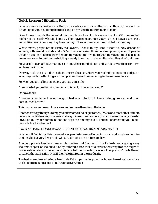#### **Quick Lesson: Mitigating Risk**

When someone is considering acting on your advice and buying the product though, there will be a number of things holding themback and preventing them from taking action.

One of these things is the potential risk: people don't want to buy something for \$35 or more that might not do exactly what it claims to. They have no guarantee that you're not just a scam artist and unlike being in a store, they have no way of looking over your product before they buy.

What's more, people are *naturally* risk averse. That is to say, that if there's a 50% chance of winning a thousand pounds and a 50% chance of losing three hundred pounds, a lot of people *wouldn't take the chance*. Even though they stand to earn more than they stand to lose, people are more driven to hold onto what they already have than to chase after what they don't *yet* have.

So your job as an affiliate marketer is to put their mind at ease and to take away their concerns while removing risk.

One way to do this is to address their concerns head on. Here, you're simply going to second guess what they might be thinking and then prevent them from worrying in the same sentence.

So when you are selling an eBook, you say things like:

"I know what you're thinking and no – this isn't just another scam!"

Or how about:

"I was reluctant too – I never thought I had what it took to follow a training program and I had been burned before."

This way, you can preempt concerns and remove them from thetable.

Another strategy though is simply to offer some kind of guarantee. JVZoo and most other affiliate networks facilitate a very simple and straightforward return policy which means that anyone who buys a product you recommend can easily get their money back – and this is something you should promote front and center!

"NO RISK! FULL MONEY BACK GUARANTEE IF YOU'RE NOT 100%HAPPY!"

What you'll find is that this makes a *lot* of people interested in buying your product who otherwise wouldn't be but very few people will actually act on the returnspolicy.

Another option is to offer a free sample or a free trial. You can do this for instance by giving away the first chapter of the eBook, or by offering a free trial of a service that requires the buyer to cancel a direct debit to get out of (this is called inertia selling – a lot of people won't be bothered to cancel the transaction even if they lose interest in the product!).

The best example of offering a free trial? Pet shops that let potential buyers take dogs home for a week before making a decision. It works everytime!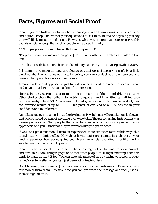## **Facts, Figures and Social Proof**

Finally, you can further reinforce what you're saying with liberal doses of facts, statistics and figures. People know that your objective is to sell to them and so anything you say they will likely question and assess. However, when you quote statistics or research, this sounds official enough that a lot of people will accept itblindly.

"70% of people saw incredible results from this product!"

"People are now earning an average of \$23,890 a month using strategies similar to this one"

"The sharks-with-lasers-on-their-heads industry has seen year-on-year growth of 700%"

It is immoral to make up facts and figures but that doesn't mean you can't be a little selective about which ones you use. Likewise, you can conduct your own surveys and research to try and back up your key points.

A more fundamental approach is just to build on facts in order to reach your conclusions so that your readers can see a real logical progression.

"Increasing testosterone leads to more muscle mass, confidence and drive (study)  $\rightarrow$ Other studies show that tribulis terrestris, tongcat ali and l-carnitine can all increase testosterone by at least  $5\% \rightarrow$  So when combined synergistically into a single product, they can promise results of up to 15%  $\rightarrow$  This product can lead to a 15% increase in your confidence and muscle mass!"

A similar strategy is to appeal to authority figures. Psychologist Milgram famously showed that people would do almost anything they were told if the person giving instructions was wearing a lab coat. Tell people that scientists, experts or doctors agree with your hypothesis and you'll find that they're far more likely to get onboard.

If you can't *get* a testimonial from an expert then there are other more subtle ways that brands achieve a similar effect. How about having a picture of a man in a lab coat on your landing page? Or how about giving your brand an official sounding title: like the UK supplement company 'Dr. Organic'?

Finally, try to use social influence to further encourage sales. Humans are social animals and if we think something is popular or that other people are using something, then this tends to make us want it too. You can take advantage of this by saying your new product is 'hot' or a 'top seller' or you can just use a lot of testimonials.

Don't have any testimonials? Just ask a few of your former customers if it's okay to get a testimonial from them – to save time you can pre-write the message and then just ask them to sign off on it.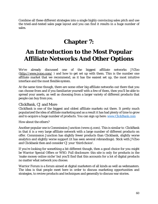Combine all these different strategies into a single highly convincing sales pitch and use the tried-and-tested sales page layout and you can find it results in a huge number of sales.

# **Chapter 7:**

# **An Introduction to the Most Popular Affiliate Networks And Other Options**

We've already discussed one of the biggest affiliate networks JVZoo [\(http://www.jvzoo.com/](http://www.jvzoo.com/register/909)) and how to get set up with them. This is the number one affiliate market that we recommend, as it has the easiest set up, the most intuitive interface and the most flexible system.

At the same time though, there are some other big affiliate networks out there that you can choose from and if you familiarize yourself with a few of them, then you'll be able to spread your assets, as well as choosing from a larger variety of different products that people can buy from you.

#### ClickBank, CJ and More

ClickBank is one of the biggest and oldest affiliate markets out there. It pretty much popularized the idea of affiliate marketing and as a result it has had plenty of time to grow and to acquire a huge number of products. You can sign up here: [www.ClickBank.com](http://www.clcikbank.com/)

How about the others?

Another popular one is Commission Junction (www.cj.com). This is similar to ClickBank in that it is a very large affiliate network with a large number of different products on offer. Commission Junction has slightly fewer products than Clickbank, slightly worse analytics and slightly worse support (it has seen several rebrandings). Stick with JVZoo and Clickbank then and consider CJ your 'thirdchoice'.

If you're looking for something a bit different though, then a good choice for you might be Warrior Special Offers or WSO. Full disclosure: this site is *only* for products in the 'make money online niche' but you'll find that this accounts for a lot of digital products no matter what network you choose.

Warrior Forum is a forum aimed at digital marketers of all kinds as well as webmasters. The idea is that people meet here in order to discuss marketing opportunities and strategies, to review products and techniques and generally to discuss war stories.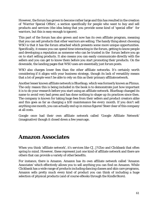However, the forum has grown to become rather large and this has resulted in the creation of 'Warrior Special Offers', a section specifically for people who want to buy and sell products and services (the idea being that you provide some kind of 'special offer' for warriors, but this is easy enough to ignore).

This part of the forum has also grown and now has its own affiliate program, meaning that you can sell products that other warriors are selling. The handy thing about choosing WSO is that it has the forum attached which presents some more unique opportunities. Specifically, it means you can spend time interacting in the forum, getting to know people and developing a reputation as someone who can be trusted in the forum *before* you go on to start selling products. It also means you can easily communicate directly with the sellers and you can get to know them before you start promoting their products. On the downside, the landing pages that WSO uses are essentially just *forum posts*.

WSO also charges lower fees than the other affiliate networks. It's certainly worth considering if it aligns with your business strategy, though its lack of versatility means that a lot of people won't be able to rely on this as their primary affiliatenetwork.

Another lesser known affiliate network is BlueSnap, which was formerly known as Plimus. The *only* reason this is being included in the book is to demonstrate just how important it is to do your research before you start using an affiliate network. BlueSnap changed its name to avoid very bad press and has done nothing to shape up its practices since then. The company is known for taking huge fees from their sellers and product creators alike and this goes as far as charging a \$10 maintenance fee *every month*. If you don't sell anything one month, you can actually end up in minus figures! Steer clear of this company at all costs.

Google once had their own affiliate network called 'Google Affiliate Network' (imaginative) though it closed down a few years ago.

### **Amazon Associates**

When you think 'affiliate network', it's services like CJ, JVZoo and Clickbank that often spring to mind. However, these represent just one kind of affiliate network and there are others that can provide a variety of other benefits.

For instance, there is Amazon. Amazon has its own affiliate network called 'Amazon Associates' which effectively allows you to sell anything you can find on Amazon. While Clickbank has a wide range of products including dancing classes and skin care programs, Amazon sells pretty much every kind of product you can think of including a huge selection of physical products (and of course eBooks through the KindleStore).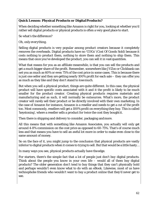#### **Quick Lesson: Physical Products or DigitalProducts?**

When deciding whether something like Amazon is right for you, looking at whether you'd rather sell digital products or physical products is often a very good place to start.

So what's the difference?

#### Oh, only *everything*.

Selling digital products is very popular among product creators because it completely removes the overheads. Digital products have no 'COGs' (Cost Of Goods Sold) because it costs nothing to product them, nothing to store them and nothing to ship them. This means that once you've developed the product, you can sell it in vast quantities.

What that means for you as an affiliate meanwhile, is that you can sell the products and get a much bigger share of the profit. Remember, somewhere like JVZoo or Clickbank can net you as much as 60% or even *75%* of the cost price in some cases. This is because there is just one seller and they are getting nearly 100% profit for each sale – they can offer you as much as they like and they don't stand to losemuch.

But when you sell a physical product, things are quite different. In this case, the physical product will have specific costs associated with it and it the profit is likely to be much smaller for the product creator. Creating physical products requires materials and manufacturing and as such, it will normally be outsources. What's more, the product creator will rarely sell their product or be directly involved with their own marketing. In the case of Amazon for instance, Amazon is a reseller and needs to get a cut of the profit too. Most commonly, resellers will get a 100% profit on everything they buy. This is called 'keystoning', where a reseller sells a product for twice the cost they boughtit.

Then there is shipping and delivery to consider, packaging andmore.

All this means that with something like Amazon Associates, you actually will only get around 4-8% commission on the cost price as opposed to 60-75%. That's of course *much*  less and that means you have to sell an awful lot more in order to make even close to the same amount of money.

So on the face of it, you might jump to the conclusion that physical products are vastly inferior to digital products when it comes to trying to sell. But that would be a little hasty…

In many ways you see, physical products actually have theedge.

For starters, there's the simple fact that a lot of people just don't *buy* digital products. Think about the people you know in your own life – would all of them buy digital products? The older generation don't tend to buy things that they can't physically hold and perhaps wouldn't even know what to do with an eBook. Likewise, most of us have technophobe friends who wouldn't want to buy a product online that they'd never get to see.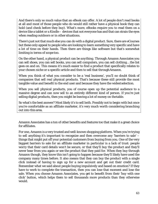And there's only *so* much value that an eBook can offer. A lot of people don't read *books*  at all and most of those people who do would still rather have a physical book they can hold (and check before they buy). What's more, eBooks require you to read them on a device like a tablet or a Kindle – devices that not everyone has and that can strain the eyes when reading outdoors or in other situations.

There's just not that much else you can do with a digital product. Sure, there are eCourses but these only appeal to people who are looking to learn something very specific and have a lot of time on their hands. Then there are things like software but that's somewhat limiting in terms of scope too.

On the other hand, a physical product can be *anything*. Through Amazon Associates you can sell shoes, you can sell books, you can sell computers, you can sell clothing… the list goes on and on. This means it's much easier to find a product that specifically relates to your chosen niche or a specific article and then to sell that throughAmazon.

When you think of what you consider to be a 'real business', you'll no doubt think of companies that sell *real* physical products. That's because these still provide the most tangible value and benefit to the end user and because they have the widestselection.

When you sell physical products, you of course open up the potential audience to a massive degree and can now sell to an entirely different kind of person. If you're *just*  selling digital products, then you might be leaving a lot of money on thetable.

So what's the best answer? Most likely it's to sell both. Possibly not to begin with but once you're comfortable as an affiliate marketer, it's very much worth considering branching out into this area.

Amazon Associates has a ton of other benefits and features too that make it a great choice for affiliates.

For one, Amazon is a very trusted and well-known shopping platform. When you're trying to sell anything it's important to recognize and then overcome any 'barriers to sale' – things that might put off your potential customers from buying from you. One of the very *biggest* barriers to sale for an affiliate marketer in particular is a lack of trust: people worry that their card details won't be secure, or that they'll buy the product and they'll never hear from you again or see the product that they paid for. When they buy through Amazon though, they know this isn't going to happen because they'll likely have used the company many times before. It also means that they can buy the product with a single click instead of having to sign up for a new account and get out their credit card. Remember what we said about people buying impulsively and based on emotion? If they have to work to complete the transaction, then you can lose that moment and lose the sale. When you choose Amazon Associates, you get to benefit from their 'buy with one click' button, which helps *them* to sell thousands more products than they otherwise would.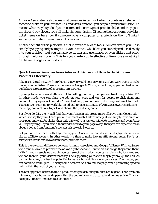Amazon Associates is also somewhat generous in terms of what it counts as a referral. If someone clicks on your affiliate link and visits Amazon, you get paid your commission no matter *what* they buy. So if you recommend a new type of protein shake and they go to the site and buy gloves, you still make the commission. Of course there are some very high ticket items on here too: if someone buys a computer or a television then 8% might suddenly be quite a decent amount of money.

Another benefit of this platform is that it provides a lot of tools. You can create your links simply by copying and pasting a URL for instance, which lets you embed products directly into your articles – but you can also go further and use images or even sliders that scroll through *multiple* products. This lets you create a quite effective online store almost right on the same page as your article.

#### **Quick Lesson: Amazon Associates vs AdSense and How to SellAmazon Products Effectively**

AdSense is the ad network from Google that you would post on your site if you were trying to make money as a publisher. These are the same as Google AdWords, except they appear embedded on publishers' sites instead of appearing onsearches.

If you opt for an image and affiliate link for selling your item, then you can treat this just like PPC. In other words, you can place the ads on your page and wait for people to click them and potentially buy a product. You don't have to do any promotion and the image will work for itself. You can even set it up to work like an ad and to take advantage of Amazon's own remarketing – meaning you don't have to pick and choose the products yourself.

But if you do this, then you'll find that your Amazon ads are no more effective than Google ads – which is to say they won't earn you all that much cash. Unfortunately, if you simply leave an ad on your page and wait for clicks, then only a few of your visitors will click those ads and even fewer will buy anything. If you have a thousand visitors to your page a day, then you can expect to make about a dollar from Amazon Associates ads a week. Notgreat!

But you can do better than that by treating your Associates account less like display ads and more like an affiliate account. In other words, it's time to *make like an affiliate marketer*. Don't just take your adverts and leave them there: promote them!

This is the excellent difference between Amazon Associates and Google AdSense. With AdSense, you *aren't allowed* to promote the ads as a publisher and have to act as though they aren't there. With Amazon Associates though, you can select the product, you can explain why it's great and you can then tell your visitors that they'll be supporting your site if they buy through the link. As you can imagine, this has the potential to make a huge difference to your sales. Even better, you can combine techniques – having some Amazon Ads around the page while promoting specific links within the body of your articles.

The best approach here is to find a product that you genuinely think is *really* good. Then promote it in a way that's honest and open within the body of a well-structured and unique article. This can be highly effective and lead to a *lot* ofsales.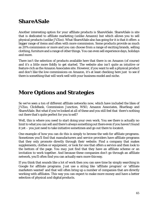### **ShareASale**

Another interesting option for your affiliate products is ShareASale. ShareASale is site that is dedicated to affiliate marketing (unlike Amazon) but which allows you to sell physical products (unlike JVZoo). What ShareASale also has going for it is that it offers a bigger range of items and often with more commission. Some products provide as much as 20% commission or more and you can choose from a range of exciting brands, selling clothing, furniture and a range of other things. You can even sell experience days, holidays and more.

There isn't the selection of products available here that there is on Amazon (of course) and it's a little more fiddly to get started. The website also isn't quite as intuitive or feature-rich as the Amazon Associates site. However, if you want to sell a physical product and don't like the low commissions on Amazon, it's at least *checking* here just to see if there is something that will work well with your business model and niche.

### **More Options and Strategies**

So we've seen a ton of different affiliate networks now, which have included the likes of JVZoo, ClickBank, Commission Junction, WSO, Amazon Associates, BlueSnap and ShareASale. But what if you've looked at *all* of these and you still feel that there's nothing out there that's quite perfect for you to sell?

Well, this is where you need to start doing your own work. You see there is actually no limit to what you can sell and there's always something out there even if you haven't found it yet – you just need to take initiative sometimes and go out there to locateit.

One example of how you can do this is simply to browse the web for affiliate programs. Sometimes you'll find that manufacturers and service providers have affiliate programs that they only promote directly through their website. Find a company that makes supplements, clothes or equipment, or look for one that offers a service and then look to the bottom of the page. You *may* just find that they have an affiliate scheme or an invitation to work together. And because these companies don't go through an affiliate network, you'll often find you can actually earn more thisway.

If you think that sounds like a lot of work then you can save time by simply searching in Google for affiliate programs. Just use a string like 'affiliate program' or 'affiliate marketers wanted' and that will often bring up a number of companies that are directly working with affiliates. This way you can expect to make more money and have a better selection of physical *and* digital products.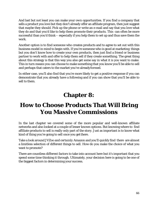And last but not least you can make your *own* opportunities. If you find a company that sells a product you love but they don't already offer an affiliate program, then just suggest that maybe they should. Pick up the phone or write an e-mail and say that you love what they do and that you'd like to help them promote their products. This can often be more successful than you'd think – especially if you help them to set up and thus save them the work.

Another option is to find someone who creates products and to agree to set out with this business model in mind to begin with. If you're someone who is good at marketing things but you don't know how to create your own products, then just find a friend or business partner to work with and offer to help them sell if they create something. The great thing about this strategy is that this way you also get some say in what it is you want to make. This in turn means you can choose to make something that you know you'll be able to sell and perhaps that caters to the market you've alreadyformed.

In either case, you'll also find that you're more likely to get a positive response if you can demonstrate that you already have a following and if you can show that you'll be able to sell to them.

# **Chapter 8:**

## **How to Choose Products That Will Bring You Massive Commissions**

In the last chapter we covered some of the more popular and well-known affiliate networks and also looked at a couple of lesser known options. But knowing where to find affiliate products to sell is really only part of the story. Just as important is to know what kind of thing you're going to sell once you get there.

Take a look around JVZoo and *certainly* Amazon and you'll quickly find there are almost a limitless selection of different things to sell. How do you make the choice of what you want to promote?

There are countless different factors to take into account here but it's important that you spend some time thinking it through. Ultimately, your decision here is going to be one of the biggest factors in determining your success.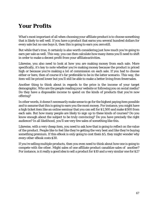## **Your Profits**

What's most important of all when choosing your affiliate product is to choose something that is likely to sell well. If you have a product that earns you several hundred dollars for every sale but no one buys it, then this is going to earn you zerostill.

But while that's true, it certainly is also worth considering just how much you're going to earn per sale as well. This way, you can then calculate how many items you'll need to shift in order to make a decent profit from your affiliateactivities.

Likewise, you also need to look at *how* you are making money from each sale. More specifically, it's key to note whether you're making money because the product is priced high or because you're making a lot of commission on each sale. If you had to choose either or here, then of course it's far preferable to be in the latter scenario. This way, the item will be priced lower but you'll still be able to make a better living from fewersales.

Another thing to think about in regards to the price is the income of your target demographic. Who are the people reading your website or following you on social media? Do they have a disposable income to spend on the kinds of products that you're now offering?

In other words, it doesn't necessarily make sense to go for the highest paying item possible and to assume that this is going to earn you the most money. For instance, you might have a high ticket item like an online seminar that you can sell for \$1,500 and make \$500 from each sale. But how many people are likely to sign up to these kinds of courses? Do you know enough about the subject to be truly convincing? Do you have precisely the right audience? In all likelihood, you'll see very few sales of something like this.

Likewise, with a very cheap item, you need to ask how that is going to reflect on the value of the product. People like to feel like they're getting the very best and like they're buying something premium. If this eBook is only going to cost them \$5, they might wonder why every *other* eBook costs \$30.

If you're selling multiple products, then you even need to think about how one is going to compete with the other. Might sales of *one* affiliate product canablize sales of another? For instance, is it really a good idea to sell a product for \$10 and a very similar one for \$2?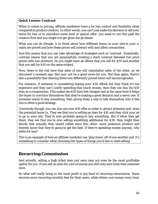#### **Quick Lesson: Contrast**

When it comes to pricing, affiliate marketers have a lot less control and flexibility when compared to product creators. In other words, you can't just make the decision to sell your items for less or to introduce some kind of special offer: you need to run this past the creators first and you might not get given the go ahead.

What you can do though, is to think about how different items on your site/in your emails are priced and how these prices will interact with and affect oneanother.

And this means that you can take advantage of strategies such as 'contrast'. Essentially, contrast means that you are purposefully creating a stark contrast between two price points with two products. So you might have an eBook that you sell for \$30 and another that you sell for \$10 on the same subject.

Now, there is the risk here that sales of one will cannibalize sales of the other, as we discussed a moment ago; this *may* not be a good move for you. But then again, there's also a possibility that shaving these two differently priced items will *encourage*sales.

For instance, if someone is considering buying your \$30 eBook but they think it's too expensive and they can't justify spending that much money, then they can buy the \$10 item as a compromise. This makes the \$10 item *feel* cheaper and at the same time it helps the buyer to convince themselves that they're making a good decision and a savvy one. If someone wants to buy something, then giving them a way to talk themselves into it like this is often a good strategy.

Conversely though, you can also use your \$10 offer in order to attract attention and draw the potential buyer in. They see that you're selling an item for \$10 and they click your ad to go to your site. They're now probably going to buy *something*. But if when they get there, they see that you're *also* selling something additional for \$30, they might then decide that actually they would rather have this other, more premium product and thereby know that they're going to get the best. If they're spending money anyway, why settle for less?

This is an example of how an affiliate marketer can 'play items' off of one another and it's something to consider when choosing the types of things you'd like to start selling.

#### *Recurring Commission*

And actually, selling a high ticket item just once may not even be the most profitable option for you. If you sell an item for a lot of money you still only earn from that customer *once*.

So what will *really* bring in the most profit is any kind of recurring commission. Some services incur recurring monthly fees for their users, while others cost money every time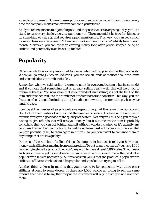a user logs in to use it. Some of these options can then provide you with commission every time the company makes money from someone you referred.

So if you refer someone to a gambling site and they use that site every single day, you can stand to earn every single time they put money in! The same might be true for bingo, or for some kind of web app that requires a paid membership. This way, you can get a much more stable income because you'll be able to work out how much you're likely to earn each month. Moreover, you can carry on earning money *long* after you've stopped being an affiliate and potentially even be set up for life!

## **Popularity**

Of course what's also very important to look at when selling your item is the popularity. When you go onto JVZoo or Clickbank, you can see all kinds of metrics about the items and this includes the number of sales.

Remember what we said earlier: there's no point in overcomplicating a business model and if you can find something that is already selling really well, this will help you to minimize the risk. You now know that if your product isn't selling, it's *not* the fault of the item and this then reduces the number of different factors to consider. This way, you can focus on other things like finding the right audience or writing a better sales pitch on your landing page.

Looking at the number of sales is only one aspect though. At the same time, you should also look at the number of returns and the number of sellers. Looking at the number of refunds gives you a good idea of the quality of the item. Not only will this help you to avoid having to give refunds that will cost you money, but it also means the item is probably something that you can get behind and sell without wondering whether it's actually any good. And remember: you're trying to build long term trust with your customers so that you can potentially sell to them again in future – so you don't want to convince them to buy things that are low quality!

In terms of the number of sellers this is also important because it tells you how much money each affiliate is making from each product. To put it another way, if you have 1,000 people trying to sell a product then you'd expect it to have at *least* 1,000 sales. That means each person managed to sell it once… so in other words it doesn't mean the product is popular with buyers necessarily. All this *does* tell you is that the product is popular with affiliates; affiliates *think* it should be popular and thus lots are trying to sell it.

Another thing to keep in mind is that you're going to be competing with these other affiliates at least to some degree. If there are 1,000 people all trying to sell the same product then who is to say that they're the customers will buy it from you and not from them.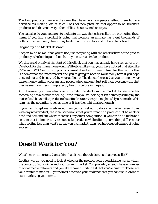The best products then are the ones that have very few people selling them but are nevertheless making *lots* of sales. Look for new products that appear to be 'breakout products' and that not every other affiliate has cottoned on to yet.

You can also do your research to look into the way that other sellers are promoting these items. If you find a product is doing well because an affiliate has spent thousands of dollars on advertising, then it may be difficult for you to stand out and benoticed.

#### *Originality and Market Research*

Keep in mind as well that you're not just competing with the other sellers of the precise product you're looking at  $-$  but also anyone with a similar product.

We discussed briefly at the start of this eBook that you may already have seen adverts on Facebook for the 'make money online' lifestyle. Likewise, you'll have noticed that sites like JVZoo and WSO sell *mostly* products aimed at making money online. In other words, this is a somewhat saturated market and you're going to need to work really hard if you hope to stand out and be noticed by your audience. The danger here is that you promote your 'make money online program' and people who land on it just roll their eyes knowing that they've seen countless things exactly like this before in thepast.

And likewise, you can also look at similar products in the market to see whether something has a chance of selling. If the item you're looking at isn't already selling by the bucket load but similar products that offer less *are* then you might safely assume that this item has the *potential* to sell as long as it has the right marketingpush.

If you want to get really advanced then you can set out to do some market research. As with any new product, the ideal scenario is that you're creating a product that has a clear need and demand but where there isn't any direct competition. If you can find a niche and an item that is similar to other successful products while offering something different, or while costing less than what's already on the market, then you have a good chance of being successful.

### **Does it Work for You?**

What's more important than asking 'can it sell' though, is to ask 'can *you* sell it?'.

In other words, you need to look at whether the product you're considering works within the context of your niche and your current market. You probably already have a number of social media followers and you likely have a mailing list that you've built up. These are your 'routes to market' – your direct access to your audience that you can use in order to start marketing your items.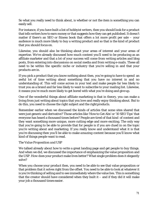So what you really need to think about, is whether or not the item is something you can easily sell.

For instance, if you have built a list of hobbyist writers, then you should look for a product that tells writers how to earn money or that suggests how they can get published. It doesn't matter if there's an SEO or fitness book that offers a lot more profit per sale – your audience is *much* more likely to buy a writing product and so that is the kind of product that you should focus on.

Likewise, you should also be thinking about your areas of interest and your areas of expertise. We've already discussed how much content you'll need to be producing as an affiliate marketer and that a lot of your success will come from writing articles and blog posts, from entering into discussions on social media and from writing e-mails. These all need to be within the specific niche or industry that you're selling in and that your products are in.

If you pick a product that you know nothing about then, you're going to have to spend an awful lot of time writing about something that you have no interest in and no understanding of. This will come across in your text and make people far less likely to trust you as a brand and far less likely to want to subscribe to your mailing list. Likewise, it means you're much more likely to get bored with what you're doing and give up.

One of the wonderful things about affiliate marketing is that in theory, you can make a living from just writing about topics that you love and really enjoy thinking about. But to do this, you need to choose the right subject and the rightproducts.

Remember earlier when we discussed the kinds of articles that some sites shared that were just generic and derivative? Those articles like 'How to Get Abs' or '10 SEO Tips' that everyone has heard a thousand times before? People are tired of that kind of content and they want something more unique, more cutting edge and more exciting. The only way that you're going to be able to provide that for people is if you are clued in on the topic you're writing about and marketing. If you really know and understand what it is that you're discussing then you'll be able to make *amazing* content because you'll know what kind of things people want to read.

#### *The Value Proposition and USP*

We talked already about how to write a great landing page and get people to buy things. And when we did, we discussed the importance of emphasizing the value proposition and the USP. *How* does your product make lives better? What single problem does it elegantly solve?

When you choose your product then, you need to be able to see that value proposition or that problem that it solves right from the offset. You need to be able to look at whatever it is you're thinking of selling and to see immediately where the value lies. This is something that the creator should have considered when they built it  $-$  and if they did it will make your job a thousand times easier.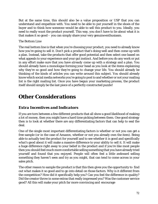But at the same time, this should also be a value proposition or USP that you can understand and empathize with. You need to be able to put yourself in the shoes of the buyer and to think how someone would be able to sell this product to you. Ideally, you need to really *want* the product yourself. This way, you don't have to lie about what it is that makes it so good – you can simply share your very genuineenthusiasm.

#### *The Bottom Line*

The real bottom line is that when you're choosing your product, you need to already know how you're going to sell it. Don't pick a product that's doing well and then come up with a plan. Instead, take the products that offer good potential and then select one based on what appeals to your experience and your gut instinct. And before you do any work or put in any effort make sure that you have *already* come up with a strategy and a plan. You should already have a monologue forming your head as you look at the items explaining why they're so good and how they're going to change your life. You should already be thinking of the kinds of articles you can write around this subject. You should already know which social media networks you're going to post to and whether or not your mailing list is the right mailing list. Once you have begun your marketing process, the product itself should simply be the last piece of a perfectly constructed puzzle!

### **Other Considerations**

#### *Extra Incentives and Indicators*

If you are torn between a few different products that all show a good likelihood of making a lot of money, then you might have a hard time picking between them. One good strategy then is to look at whether there are any differentiating factors that can help to seal the deal.

One of the single most important differentiating factors is whether or not you can get a free sample (or in the case of Amazon, whether or not you already own the item). Being able to actually test the product for yourself and to see whether it is good and specifically *what's* good about it will make a massive difference to your ability to sell it. It will make a huge difference right away to your belief in the product and if you're like most people then you should feel much more comfortable selling something that you have already tried yourself and found that you enjoyed. People will often feel a little awkward selling something they haven't seen and try as you might, that can tend to come across in your sales pitch.

The other reason to sample the product is that this then gives you the opportunity to find out *what* makes it so good and to go into detail on those factors. Why is it different from the competition? How did it specifically help you? Can you feel the difference in quality? Did the creator throw in some extras that really impressed you? Was the customer service good? All this will make your pitch far more convincing and encourage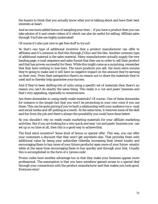the buyers to think that you actually know what you're talking about and have their best interests at heart.

And as one more added bonus of sampling your item – if you have a product then you can take photos of it and create videos of it which can also be useful for selling. Affiliate sales through YouTube are highly underrated!

Of course it's also just nice to get free stuff to try out!

So that's one type of additional incentive that a product manufacturer can offer to affiliates and it's common to find this through JVZoo and the like. Another common type of additional material is the sales material. Many manufacturers actually supply the very landing page, e-mail sequence and sales funnel that they use in order to sell their product and that has proven successful for them. While this might come as a surprising, remember that they have nothing to lose here. The more products you sell, the more extra income they're going to make and it will have no negative impact on the amount they're earning on their own. From their perspective there's no reason *not* to share the materials they've used and to thereby help guarantee your success.

And if they've been shifting lots of units using a specific set of materials then there's no reason you can't do exactly the same thing. This really is a 'cut and paste' business and that's very appealing, especially to someone new.

Are there downsides to using ready-made materials? Of course. One of these downsides for instance is the simple fact that you won't be promoting in your own voice if you use these. This can be quite jarring if you've built a relationship with your audience via e- mail and social media and off-putting as a result. At the same time, it removes some of the skill and fun from the job and there's always the possibility you could have done better.

So you shouldn't rely on ready-made marketing materials for your affiliate marketing activities. *But* if you are looking for a very quick and easy 'cut and paste' business you can set up in no time at all, then this is a good way to achievethat.

The final extra incentive? Some kind of bonus or special offer. This way, you can offer your customers a discount that they won't get anywhere else. That provides them with additional value by being your subscriber (thereby increasing their brand loyalty and encouraging them to buy more of your future products/open more of your future emails) while at the same time encouraging them to buy quickly and through your link. Usually this is accomplished in the form of a 'promo code'.

Promo codes have another advantage too in that they make your business appear more professional. The assumption is that you have somehow gained access to a special deal through your connections with the product manufacturer and that makes you look good. Everyone wins!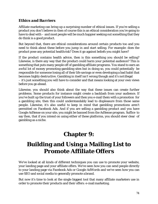#### *Ethics and Barriers*

Affiliate marketing can bring up a surprising number of ethical issues. If you're selling a product you don't believe in then of course this is an ethical consideration you're going to have to deal with – and most people will be much happier seeking out something that they *do* think is a good product.

But beyond that, there are ethical considerations around certain products too and you need to think about these before you jump in and start selling. For example: does the product pose any potential healthrisk? Does it go against beliefs you might have?

If the product contains health advice, then is this something you should be selling? Likewise, is there any way that the product could harm your potential audience? This is something that puts many people off of gambling affiliate programs. You stand to earn an *awful* lot of money promoting gambling sites but in doing so, you could potentially be responsible for someone losing all of their life savings or even developing a bad habit that becomes highly destructive. Gambling in itself isn't wrong though and it's notillegal – it's just something you will have to consider and that means looking at your own views before you go ahead.

Likewise, you should also think about the way that these issues can create further problems. Some products for instance might create a backlash from your audience. If you've built up the trust of your followers and then you e-mail them with a promotion for a gambling site, then this could understandably lead to displeasure from those same people. Likewise, it's also useful to keep in mind that gambling promotions aren't permitted on Facebook Ads. And if you are selling a gambling product and you have Google AdSense on your site, you might be banned from the AdSense program. Suffice to say then, that if you intend on using either of these platforms, you should steer clear of gambling as a niche.

## **Chapter 9:**

# **Building and Using a Mailing List to Promote Affiliate Offers**

We've looked at all kinds of different techniques you can use to promote your website, your landing page and your affiliate offers. We've seen how you can send people directly to your landing page via Facebook Ads or Google AdWords and we've seen how you can use SEO and social media to generally promote abrand.

But now it's time to look at the single biggest tool that many affiliate marketers use in order to promote their products and their offers: e-mailmarketing.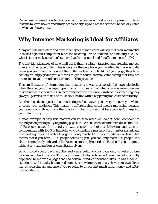Earlier we discussed how to choose an autoresponder and set up your opt-in form. Now it's time to learn how to encourage people to sign up and how to get them to actually listen to what you have to say.

#### **Why Internet Marketing is Ideal for Affiliates**

Many affiliate marketers and even *other* types of marketers will say that their mailing list is their single most important asset for reaching a wide audience and making sales. So what is it that makes mailing lists so valuable in general and for affiliates specifically?

The first big advantage of an e-mail list is that it's *highly* targeted and arguably moreso than any other type of list. This is because the people on your mailing list have actually given you *permission* to contact them. Rather than simply 'liking' your page, they have actually willingly giving you a means to get in touch, thereby establishing that they are interested in your brand and the kinds of things you sell.

This small matter of permission also impacts the way that people feel psychologically when they get your messages. Specifically, this means that when you message someone, they won't feel as though it's an inconvenience or a nuisance – instead it's something they gave you permission to do and thus they'll be fine with it happening (at least theoretically).

Another big advantage of e-mail marketing is that it gives you a very direct way in which to reach your audience. This makes it different than social media marketing because you're not going *through* another platform. That is to say that Facebook isn't managing your relationship.

A good example of why this matters can be seen when we look at how Facebook has recently changed its policy regarding page likes. When Facebook first introduced the idea of Facebook pages for brands, it was possible to build a following and then to communicate with 100% of that following by sending a message. This number shrunk and now posting to your Facebook page will only reach 10% of your audience or less. That means that if you have 1,000 people following you, you can only reach 100 people. It's also not completely unheard of for Facebook to simply get rid of a Facebook page or group without any explanation or consultationgiven.

So you could spend days, months and years building your page only to wake up one morning and find it's gone. This might sound like hyperbole and paranoia but it actually happened to me with a page that had several hundred thousand likes. It was a painful experience and it really hammered home just how important it is to have your own direct way of accessing an audience if you're going to invest that much time, money and effort into building it.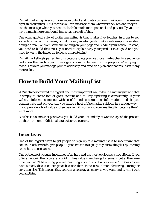E-mail marketing gives you complete control and it lets you communicate with someone right in their inbox. This means you can message them wherever they are and they will see the message *when* you send it. It feels much more personal and potentially you can have a much more emotional impact as a result of this.

One often quoted 'rule' of digital marketing, is that it takes five 'touches' in order to sell something. What this means, is that it's very rare for you to make a sale simply by sending a single e-mail, or from someone landing on your page and reading your article. Instead, you need to build that trust, you need to explain why your product is so good and you need to warm the buyer up to being interested in it.

E-mail marketing is perfect for this because it lets you use those five touches in a sequence and know that each of your messages is going to be seen by the people you're trying to reach. This lets you manage your relationship and execute a plan and that results in many more sales.

# **How to Build Your Mailing List**

We've already covered the biggest and most important way to build a mailing list and that is simply to create lots of great content and to keep updating it consistently. If your website informs someone with useful and entertaining information and if you demonstrate that on your site you tackle a host of fascinating subjects in a unique way – if you provide lots of value – then people will sign up to your mailing list because they'll want more.

But this is a somewhat passive way to build your list and if you want to speed the process up there are some additional strategies you canuse.

#### *Incentives*

One of the biggest ways to get people to sign up to a mailing list is to incentivize that action. In other words, give people a good reason to sign up to your mailing list by offering something in exchange.

One of the most popular incentives of all here and the most obvious is a free eBook. If you offer an eBook, then you are providing free value in exchange for e-mails but at the same time, you won't be costing yourself anything – so this isn't a 'loss leader'. EBooks as we have already discussed are great because there is no cost of manufacturing, storing or anything else. This means that you can give away as many as you want and it won't cost you anything.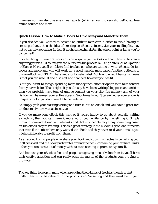Likewise, you can also give away free 'reports' (which amount to very short eBooks), free online courses and more.

#### **Quick Lesson: How to Make eBooks to Give Away and MonetizeThem!**

If you decided you wanted to become an affiliate marketer in order to avoid having to create products, then the idea of creating an eBook to incentivize your mailing list may not be terribly appealing. In fact, it might somewhat defeat the whole point as far as you're concerned!

Luckily though, there are ways you can acquire your eBooks without having to create anything yourself. Of course you can outsource the process by using a site such as UpWork or Elance. Here, you'll be able to find freelancers who are willing to write eBooks, design covers and more and who will work for a good wage in most cases. Another option is to buy an eBook with 'PLR'. That stands for Private Label Rights and what it basically means is that you can resell it and also edit and change it however you see fit.

But if you want to forego spending more money then another option is to take content from your website. That's right: if you already have been writing blog posts and articles then you probably have tons of unique content on your site. It's unlikely any of your visitors will have read your entire site and Google really won't care whether your eBook is unique or not – you don't need it to getindexed.

So simply grab your existing writing and turn it into an eBook and you have a great free product to give away as an incentive!

If you *do* make your eBook this way, or if you're happy to go about actually writing something, then you can make it more worth your while too by monetizing it. Simply throw in some additional affiliate links and that way people might buy something based on the eBook they're reading. This is a great strategy if the eBook is good and it means that even if the subscribers only wanted the eBook and they never read your e-mails, you might *still* be able to profit from them.

As an added bonus, people who share your book and copy it will actually be helping you. If all goes well and the book proliferates around the net  $-$  containing your affiliate links – then you can earn a lot of money without even needing to promote it yourself.

And because your eBook is *free* and people are getting tons of value from it, you'll have their captive attention and can really push the merits of the products you're trying to promote!

The key thing to keep in mind when providing these kinds of freebies though is that firstly: they must be relevant to the products you're selling and they must be in your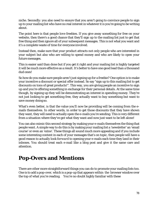niche. Secondly: you also need to ensure that you aren't going to convince people to sign up to your mailing list who have no real interest in whatever it is you're going to be writing about.

The point here is that people *love* freebies. If you give away something for free on your website, then there's a good chance that they'll sign up to the mailing list just to get that free thing and then ignore all of your subsequent messages. This is not what you want and it's a complete waste of time for everyone involved.

Instead then, make sure that your product attracts not only people who are interested in your subject but also who are willing to spend money and who are likely to open your future messages.

This is easier said than done but if you get it right and your mailing list is highly targeted it will be much more effective as a result. It's better to have one good lead than a thousand dud ones!

So how do you make sure people aren't just signing up for a freebie? One option is to make your incentive a discount or special offer instead. So say "sign up to this mailing list to get discounts on tons of great products!". This way, you are giving people an incentive to sign up and you're offering something in exchange for their personal details. At the same time though, by signing up they will be demonstrating an interest in spending money. They're not just looking to get something free, they actually want to buy something but want to save money doing so.

What's even better, is that the value you'll now be providing will be coming from the emails themselves. In other words, in order to get those discounts that they have shown they want, they will need to actually open the e-mails you're sending. This is very different from a situation where they've got what they want and now just want to be left alone!

You can also mimic this second strategy by making your e-mails themselves the thing that people want. A simple way to do this is by making your mailing list a 'newsletter' an 'email course' or even an 'ezine'. These things all sound much more appealing and if you include some interesting content in each of your messages that's on topic, then people will have a good reason to actually *look forward* to opening your e-mails each time they land in their inboxes. You should treat each e-mail like a blog post and give it the same care and attention.

### **Pop-Overs and Mentions**

There are other more straightforward things you can do to promote your mailing lists too. One is to add a pop-over, which is a pop-up that appears within the browser window over the top of what you're reading. You're no doubt highly familiar with these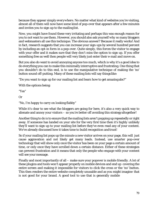because they appear simply *everywhere*. No matter what kind of websites you're visiting, almost all of them will now have some kind of pop-over that appears after a few minutes and invites you to sign up to the mailing list.

Now, you might have found these very irritating and perhaps this was enough reason for you to *not* want to use them. However, you should also ask yourself *why* so many bloggers and webmasters all use this technique. The obvious answer? Because it really works! And in fact, research suggests that you can increase your sign-ups by several hundred percent by including an opt-in form in a pop-over. Quite simply, this forces the visitor to engage with your offer and it makes sure that they don't miss the option to sign up. If you offer something free as well then people will very likely just enter their e-mail and move on.

But you also do want to avoid annoying anyone too much, which is why it's a good idea to do everything you can to make this minimally interruptive and frustrating. One thing that you shouldn't do to this end, is to use the manipulative technique of making the 'no' button sound off-putting. Many of these mailing lists will say things like:

"Do you want to sign up for our mailing list and learn how to get amazing abs?"

With the options being:

"Yes"

Or

"No, I'm happy to carry on looking flabby"

While it's clear to see what the bloggers are going for here, it's also a very quick way to alienate and annoy your visitors – so you're better off avoiding this strategyaltogether!

Another thing to do is to ensure that the mailing lists aren't popping up repeatedly or right away. If someone has landed on your site for the very first time then it's *highly* unlikely they'll want to sign up to your mailing list before they've even read any of your content. We've already discussed how it takes time to build recognition andtrust!

So if your mailing list pops up the minute a new visitor arrives on your page, this will just cause aggravation and not likely get many leads. Instead, use smarter pop-over technology that will show only once the visitor has been on your page a certain amount of time, or only once they have scrolled down a certain distance. Either of these strategies can prevent frustration and it means that only the people who *engage* with your content will see your message.

Finally and most importantly of all – make sure your popover is mobile friendly. A lot of these plugins and tools won't appear properly on mobile devices and end up covering the entire screen and making it impossible for visitors to click the cross or the 'no' button. This then renders the entire website completely unusable and as you might imagine that is *not* good for your brand. A good tool to use that is generally mobile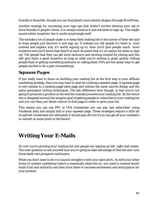friendly is SumoMe, though you can find plenty more similar plugins through WordPress.

Another strategy for increasing your sign-ups that doesn't involve shoving your opt-in force literally in people's faces, is to simply mention it and *ask* them to sign up. This might sound rather simplistic but it works surprisingly well!

The mistake a lot of people make is to keep their mailing list in the corner of their site and to hope people just discover it and sign up. If instead you tell people it's there in your content and explain *why* it's worth signing up to, then you'll give people much more incentive and you'll know that they'll *at least* be aware that it's an option for them to sign up! Tell people that they can get more exclusive and exciting content by joining and this will give them a good incentive as long as what you're writing is great quality (telling people they're getting something exclusive or calling them VIPs are two great ways to get people excited to be a part of something).

#### *Squeeze Pages*

If you really want to focus on building your mailing list as the first step in your affiliate marketing strategy, then you may want to start by creating a squeeze page. A squeeze page is very similar to a landing page/sales page and utilizes the same narrow design and the same persuasive writing techniques. The key difference here though, is that you're not going to promote a product at the end but instead promote your mailing list. So the entire site is designed around the singular goal of getting people to subscribe to your mailing list and you can then just direct visitors to that page in order to grow your list.

This means you can use PPC or CPA (remember you can pay 'per subscriber' using Facebook Ads) and simply link to your squeeze page. These strategies require a little bit of upfront investment but ultimately it should pay off a lot if you can get all your members to convert at some point in the future!

## **Writing Your E-Mails**

So now you're growing your mailing list and people are signing up left, right and center. The next question to ask yourself how you're going to take advantage of that list and turn those leads into prospects and buyers.

What you *don't* want to do is to launch straight in with your sales pitch. As with your other forms of content marketing (which is essentially what this is), you need to instead slowly build trust and authority and then from there to increase excitement and anticipation for your product.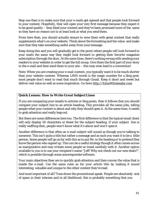Step one then is to make sure that your e-mails get opened and that people look forward to your content. Hopefully, they will open your very first message because they expect it to be good quality – they liked your content and they've been promised more of the same so they have no reason *not* to at least look at what you sendthem.

From here then, you should actually ensure to wow them with great content that really supplements what's on your website. Think about the formatting and the value and make sure that they take something useful away from your message.

Keep doing this and you will gradually get to the point where people will look forward to your mails the same way they might look forward to getting their favorite magazine subscription through the door. At the same time, there's nothing wrong with sending your readers to your website in order to get the full scoop. Give them the first part of your story in the e-mail and then send them to your site – this may even lead to a conversion!

Note: When you are creating your e-mail content, you typically want it to be much shorter than your website content. Whereas 1,800 words is the magic number for a blog post, most people don't want to read that much through Gmail. Keep it short and sweet but deliver real value as well as some inspiration. Go here: http://EzineWholesaler.com

#### **Quick Lesson: How to Write Great Subject Lines**

If you are comparing your emails to articles or blog posts, then it follows that you should compare your subject line to an article heading. This provides all the same jobs, telling people what your content is about and why they should open it. At the same time, it needs to grab attention and really leap out.

But there are some differences here too. The first difference is that the typical email client will only display 50 characters or fewer for the subject heading. If your subject line is really waffling then, people won't know what it's about and won't openit.

Another difference is that often an e-mail subject will sound as though you're talking *to*  someone. This isn't quite a title but rather a message and as such you want it to be a little person. Some people will go as far with this as to put Re: in the heading or to pretend they know the person who signed up. This *can* be a useful strategy though it often comes across as manipulative and may irritate some people so tread carefully with it. Another option available to you is to use your recipient's name "Jeff! Why not check out our new deals?", which is possible through some autoresponder software.

Your main objectives then are to quickly grab attention and then convey the value that is inside the e-mail. Use the same rules as for your article title by making it sound interesting, valuable and unique to the other content they've read.

And most important of all? Tone down the promotional speak. People are absolutely sick of spam in their inboxes and in all likelihood, this is probably something that you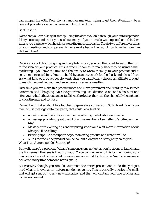can sympathize with. Don't be just another marketer trying to get their attention – be a content provider or an entertainer and built their trust.

#### *Split Testing*

Note that you can also split test by using the data available through your autoresponder. Many autoresponders let you see how many of your e-mails were opened and this then means you can see which headings were the most successful. Create two different versions of your headings and compare which one works best – then you know to write more like that in future!

Once you've got this flow going and people trust you, you can then start to warm them up to the idea of your product. This is where it comes in really handy to be using e-mail marketing – you have the time and the luxury to warm them up to your product and to get them interested in it. You can build hype and even ask for feedback and ideas. If you ask *what kind of product* people want, then you can literally choose an affiliate product to match the one that your audience have expressed a needfor.

Over time you can make this product more and more prominent and build up to a launch date when it will be going live. Give your mailing list advance access and a discount and after you've built that trust and established the desire, they will then hopefully be inclined to click through and convert.

Remember, it takes about five touches to generate a conversion. So to break down your mailing list messages into five parts, that could look likethis:

- A welcome and hello to your audience, offering useful advice andvalue
- A message providing great useful tips plus mention of something 'exciting on the way'
- Message with exciting tips and inspiring stories and a bit more information about what you'll be selling
- Exciting tips + a description of your amazing product and what it willdo

• A link to where the product can be bought along with a straight up salespitch *What is an Autoresponder Sequence?*

But wait, there's a problem! What if someone signs up just as you're about to launch and the *first* e-mail they see is that promotion? You can get around this by mentioning your new subscribers at some point in every message and by having a 'welcome message' delivered every time someone new signs up.

Alternatively though, you can also automate the entire process and to do this you just need what is known as an 'autoresponder sequence'. This is basically a series of e-mails that will get sent out to any new subscriber and that will contain your five touches and conversion e-mail.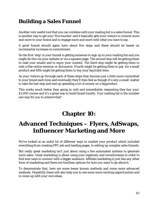### **Building a Sales Funnel**

Another very useful tool that you can combine with your mailing list is a sales funnel. This is another way to get your 'five touches' and it basically gets your visitors to commit more and more to your brand and to engage more and more with what you have tosay.

A good funnel should again have about five steps and these should be based on incremental increases in commitment.

So the first 'step' in your funnel is getting someone to sign up to your mailing list and you might do this via your website or via a squeeze page. The second step will be getting them to read your emails and to enjoy your content. The third step might be getting them to visit a free online seminar or discussion. Fourth might be getting them to pay for a small product and fifth might be getting them to buy your big ticket item.

As your visitors go through each of these steps they become just a little more committed to your brand each time and eventually they'll then feel as though it's only a small matter to take the last step and end up spending a lot of money on a bigproduct.

This works much better than going in cold and immediately requesting they buy your \$1,000 course and it's a great way to build brand loyalty. Your mailing list is the number one way for you to achieve that!

# **Chapter 10:**

# **Advanced Techniques – Flyers, AdSwaps, Influencer Marketing and More**

We've looked at an awful lot of different ways to market your product which included everything from creating PPC ads and landing pages, to setting up complex sales funnels.

But really great marketing isn't just about using a few automated systems to generate more sales. Great marketing is about using your ingenuity and inventiveness in order to find new ways to connect with a bigger audience. Affiliate marketing is just like any other form of marketing and there are *limitless* options for how you want to go aboutit.

To demonstrate that, here are some lesser known methods and some more advanced methods. Hopefully these will also help you to see some more exciting opportunities and to come up with your *own* ideas.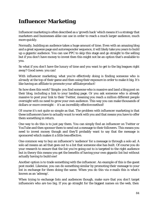## **Influencer Marketing**

Influencer marketing is often described as a 'growth hack' which means it's a strategy that marketers and businesses alike can use in order to reach a much larger audience, much more quickly.

Normally, building an audience takes a huge amount of time. Even with an amazing blog and a great squeeze page and autoresponder sequence, it will likely take you years to build up a gigantic audience. You can use PPC to skip this stage and go straight to the selling but if you don't have money to invest then this might not be an option that's available to you.

So what if you don't have the luxury of time and you want to get to the big leagues right away? Good news: you can!

With influencer marketing, what you're effectively doing is finding someone who is *already* at the top of their game and then using their exposure in order to make it big. It's like having an affiliate to promote *your* affiliate product!

So how does this work? Simple: you find someone who is massive and land a blog post on their blog, including a link to your landing page. *Or* you ask someone who is already massive to post your link to *their* Twitter, meaning you reach a million different people overnight with no need to grow your own audience. This way you can make thousands of dollars or *more* overnight – it's an incredibly effective method!

Of course it's not quite so simple as that. The problem with influencer marketing is that these influencers have to actually *want* to work with you and that means you have to offer them something in return.

One way to do this is to just pay them. You can simply find an influencer on Twitter or YouTube and then sponsor them to send out a message to their followers. This means you need to invest money though and they'll probably want to say that the message is sponsored which makes it a little less effective.

One common way to buy an influencer's 'audience' for a message is through a solo ad. A solo ad means an ad that goes out to a list that someone else has built. Of course you do your research to ensure that the list you're going out to is targeted to the right audience but in theory this means you get the benefits of having your own gigantic list but without actually having to build one!

Another option is to trade something with the influencer. An example of this is the guest post model. Likewise, you can do something similar by promoting *their* message to your list in exchange for them doing the same. When you do this via e-mails this is what's known as an 'adswap'.

When trying to exchange lists and audiences though, make sure that you don't target influencers who are *too* big. If you go straight for the biggest names on the web, then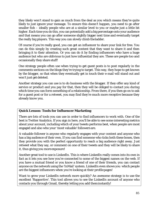they likely won't stand to gain as much from the deal as you which means they're quite likely to just ignore your message. To ensure this doesn't happen, you need to go after smaller fish – ideally people who are at a similar level to you or maybe just a little bit higher. Each time you do this, you can potentially add a big percentage onto your audience and that means you can go after someone slightly bigger *next time* and eventually target the really big players. This way you can slowly climb theladder.

Of course if you're really good, you can get an influencer to share your link for free. You can do this simply by creating such great content that they want to share it and then bringing it to their attention. *Or* you can do it by finding influencers who have a huge audience but who are oblivious to just how influential they are. These are people too and occasionally they share stuff!

One strategy people often use when trying to get guest posts is to post regularly in the comments sections on the blogs they're trying to target. This way, they hope to get known by the blogger, so that when they eventually get in touch their e-mail will stand out and won't just get deleted.

Another strategy you can use is to do business with the blogger. If they offer any kind of service or product and you pay for that, then they will be obliged to contact you during which time you can form something of a relationship. From there, if you then go on to ask for a guest post or for a retweet, you may find they're much more receptive because they already *know* you.

#### **Quick Lesson: Tools for Influencer Marketing**

There are lots of tools you can use in order to find influencers to work with. One of the best is Twitter Analytics. If you sign in here, you'll be able to see some interesting metrics about your account, including which of your tweets performs best, when people are most engaged and also who your 'most valuable' followers are.

A valuable follower is anyone who regularly engages with your content and anyone who has a big audience of their own. If you can find someone who ticks both these boxes, then they provide you with the perfect opportunity to reach a big audience right away. Just retweet what they say, or comment on one of their tweets and they will be likely to share it, thus giving you more exposure!

Another great tool to use is LinkedIn. This is where LinkedIn really comes into its own in fact as it lets you see how you're connected to some of the biggest names on the web. If you have a mutual friend or you know a friend of one of their friends, you can contact anyone on the network using the 'InMail' system. LinkedIn even shows you which people are the biggest influencers when you're looking at their profilepages!

Want to grow your LinkedIn network more quickly? An awesome strategy is to use the excellent 'Rapportive'. This tool allows you to see the LinkedIn account of anyone who contacts you through Gmail, thereby letting you add theminstantly!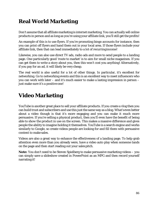## **Real World Marketing**

Don't assume that all affiliate marketing is internet marketing. You can actually sell online products in person and as long as you're using your affiliate link, you'll still get the profits!

An example of this is to use flyers. If you're promoting bingo accounts for instance, then you can print off flyers and hand them out in your local area. If those flyers include your affiliate link, then that can lead immediately to a lot of recurringincome!

Likewise, you can also use direct TV ads, radio ads and more to send people to a landing page. One particularly good 'route to market' is to aim for small niche magazines. If you can get them to write a story about you, then this won't cost you anything! Alternatively, if you pay for an ad, it will likely be very cheap.

The real world is also useful for a lot of other things. In particular, it's *excellent* for networking. Go to networking events and this is an excellent way to meet influencers who you can work with later – and it's much easier to make a lasting impression in person – just make sure it's a positive one!

### **Video Marketing**

YouTube is another great place to sell your affiliate products. If you create a vlog then you can build trust and subscribers and use this just the same way as a blog. What'seven better about a video though is that it's more engaging and you can make it much more persuasive. If you're selling a physical product, then you'll even have the benefit of being able to *show* the product in use on the screen. This makes a massive difference and gives people the ability to imagine holding it themselves. YouTube is a search engine and works similarly to Google, so create videos people are looking for and fill them with persuasive content to make sales.

Videos are also a great way to enhance the effectiveness of a landing page. To help grab attention even more than you already were, have a video auto play when someone lands on the page and then start reading out your salespitch.

**Note:** You don't need to be Steven Spielberg to make persuasive marketing videos – you can simply save a slideshow created in PowerPoint as an MPG and then record yourself narrating it!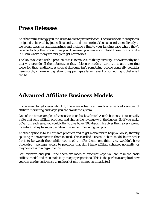#### **Press Releases**

Another mini strategy you can use is to create press releases. These are short 'news pieces' designed to be read by journalists and turned into stories. You can send them directly to big blogs, websites and magazines and include a link to your landing page where they'll be able to buy the product via you. Likewise, you can also upload these to a site like PR.Com where many writers go to get newstories.

The key to success with a press release is to make sure that your story is *news worthy* and that you provide all the information that a blogger needs to turn it into an interesting piece for their audience. A special discount isn't something people generally consider newsworthy – however big rebranding, perhaps a launch event or something to that effect can be.

#### **Advanced Affiliate Business Models**

If you want to get clever about it, there are actually all kinds of advanced versions of affiliate marketing and ways you can 'work the system'.

One of the best examples of this is the 'cash back website'. A cash back site is essentially a site that sells affiliate products and shares the revenue with the buyers. So if you make 60% from each sale, you could offer to give buyer 30% back. This gives them a very strong incentive to buy from you, while at the same time giving youprofit.

Another option is to sell affiliate products and to get marketers to help you do so, thereby splitting the revenue with them instead. This is called a revenue share model but in order for it to be worth their while, you need to offer them something they wouldn't have otherwise – perhaps access to products that don't have affiliate schemes normally, or maybe access to a big audience.

Get inventive and you'll find there are loads of different ways you can take the basic affiliate model and then scale it up to epic proportions! This is the perfect example of how you can use inventiveness to make a lot more money as amarketer!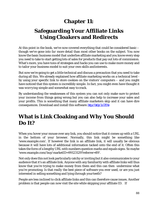### **Chapter 11:**

# **Safeguarding Your Affiliate Links Using Cloakers and Redirects**

At this point in the book, we've now covered everything that could be considered basic – though we've gone into *far* more detail than most other books on the subject. You now know the basic business model that underlies affiliate marketing and you know every step you need to take to start getting lots of sales for products that pay out lots of commission. What's more, you have tons of strategies and hacks you can use to make more money and to tailor your business model to suit your own skills andinterests.

But now we're going to get a little technical and discuss a precaution that you need to take during all this. We already explained how affiliate marketing works on a technical level by using your specific link to store cookies on the visitors' computers – and you might have noticed that this system is incredibly simple. In fact, you might even have thought it was *worrying* simple and somewhat easy tocrack.

By understanding the weaknesses of this system you can not only make sure to protect your income from things going wrong but you can also help to increase your sales and your profits. This is something that many affiliate marketers skip and it can have dire consequences. Download and install this software: http://bit.ly/2u7Z01e

### **What is Link Cloaking and Why You Should Do It?**

When you hover your mouse over any link, you should notice that it comes up with a URL in the bottom of your browser. Normally, this link might be something like ['www.example.com'.](http://www.example.com/) If however the link is an affiliate link, it will usually be obvious because it will have lots of additional information tacked onto the end of it. Often this takes the form of a lengthy URL with numbers question marks and equals signs. So maybe ['www.example.com/buy/marketID=99123129?referrer=89'](http://www.example.com/buy/marketID%3D99123129?referrer=89).

Not only does this not look particularly catchy or inviting but it also communicates to your audience that it's an affiliate link. Anyone with any familiarity with affiliate links will thus know that you're trying to make money from them and this can then undermine what you're promoting. Is that *really* the best piece of software you ever used, or are you just interested in selling something and lying through yourteeth?

People are *less inclined* to click affiliate links and this can therefore cause issues. Another problem is that people can now visit the site while skipping your affiliate ID. If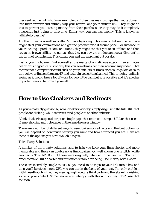they see that the link is to ['www.example.com'](http://www.example.com/) then they may just type that route domain into their browser and entirely skip your referral and your affiliate link. They might do this to prevent you earning money from their purchase, or they may do it completely innocently just trying to save time. Either way, you can lose money. This is known as 'affiliate bypassing'.

Another threat is something called 'affiliate hijacking'. This means that *another* affiliate might steal your commissions and get the product for a discount price. For instance, if you're selling a product someone wants, they might see that you're an affiliate and then set up their own affiliate account so that they can buy the product and get a 'discount' in the form of commission. This cheats you *and* the merchant out of sales.

Lastly, you might even find yourself at the mercy of a malicious attack. If an affiliate's behavior is flagged as suspicious, this can sometimes get their account suspended. That means that a competitor could click on your link lots of times or encourage lots of sales through your link on the same IP and result in you getting banned. This is highly unlikely seeing as it would take a lot of work for very little gain but it *is* possible and it's another important reason to protect yourself.

#### **How to Use Cloakers and Redirects**

As you've possibly guessed by now, cloakers work by simply disguising the full URL that people are clicking, while redirects send people to another link first.

A link cloaker is a special script or simple page that redirects a simple URL or that uses a 'frame' showing multiple pages in the same browser window.

There are a number of different ways to use cloakers or redirects and the best option for you will depend on how much security you want and how advanced you are. Here are some of the options you have available to you:

#### *Third Party Solutions*

A number of third party solutions exist to help you keep your links shorter and more memorable and these can double up as link cloakers. On well known one is 'bit.ly' while another is 'TinyUrl'. Both of these were originally intended to be used with Twitter in order to make URLs shorter and thus more suitable for being used in very briefTweets.

These are incredibly simple to use: all you need to do is paste your link into a box and then you'll be given a new URL you can use in the body of your text. The only problem with these though is that they mean going through a third party and thereby relinquishing some of your control. Some people are unhappy with this and so they don't use that solution.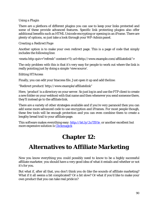#### *Using a Plugin*

There are a plethora of different plugins you can use to keep your links protected and some of these provide advanced features. Specific link protecting plugins also offer additional benefits such as HTML Unicode encrypting or opening in an iFrame. There are plenty of options, so just take a look through your WP-Admin panel.

#### *Creating a Redirect Page*

Another option is to make your own redirect page. This is a page of code that simply includes the following line:

<meta http-quiv="refresh" content="0;ur[l=http://www.example.com/affiliatelink"](http://www.example.com/affiliatelink)>

The only problem with this is that it's very easy for people to work out where the link is really pointing just by doing a simple 'view source'.

#### *Editing HTAccess*

Finally, you can edit your htaccess file. Just open it up and add theline:

"Redirect product/ http://www.example/affiliatelink"

Here, 'product' is a directory on your server. So just log in and use the FTP client to create a new folder on your webhost with that name and then whenever you send someone there, they'll instead go to the affiliate link.

There are a variety of other strategies available and if you're very paranoid then you can add some more advanced code to use encryption and iFrames. For most people though, these few tools will be enough protection and you can even combine them to create a lengthy bread trail to your affiliate page.

This software makes everything easy: [http://bit.ly/2u7Z01e o](http://bit.ly/2u7Z01e)r another excellent but more expensive solution is [Clickmagick](https://www.clickmagick.com/go/leo123)

# **Chapter 12:**

# **Alternatives to Affiliate Marketing**

Now you know everything you could possibly need to know to be a highly successful affiliate marketer, you should have a very good idea of what it entails and whether or not it's for you.

But what if, after all that, you don't think you *do* like the sounds of affiliate marketing? What if it all seems a bit complicated? Or a bit slow? Or what if you'd like to make your own product that you can take real pride in?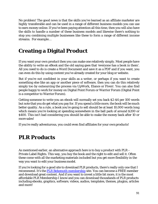No problem! The good news is that the skills you've learned as an affiliate marketer are *highly* transferable and can be used in a range of different business models you can use to earn money online. If you've been paying attention all this time, then you will *also* have the skills to handle a number of these business models and likewise there's nothing to stop you combining multiple businesses like these to form a range of different income streams. For example…

# **Creating a Digital Product**

If you want your *own* product then you can make one relatively simply. Most people have the ability to write an eBook and the old saying goes that 'everyone has a book in them'. All you need to do is create a Word Document and save it as a PDF and if you want, you can even do this by using content you've already created for your blog or website.

But if you're not confident in your skills as a writer, or perhaps if you want to create something else like an app or another piece of software, then you can do this relatively simply too by outsourcing the process via UpWork, Elance or Fiverr. You can also find people happy to work for money on Digital Point Forum or Warrior Forum (Digital Point is a competitor to Warrior Forum).

Getting someone to write you an ebook will normally set you back \$2-\$4 per 100 words but note that you do get what you pay for. If you spend a little more, the book will be much better quality. As a rule, a book you're going to sell should be at least 10,000 words long which means you're looking at spending somewhere in the ball park of around \$200 or \$400. This isn't bad considering you should be able to make the money back after 10 or more sales!

If you're really adventurous, you could even find affiliates for your *own*products!

#### **PLR Products**

As mentioned earlier, an alternative approach here is to buy a product with PLR – Private Label Rights. This way, you buy the book and the right to edit and sell it. Often these come with all the marketing materials included but you get more flexibility in the way you want to edit your business model.

If you're looking for a good site to download PLR products, there's really only one that I recommend. It's the **PLR Behemoth membership** site. You can become a FREE member and download great content. And if you want to invest a little bit more, it is the most affordable PLR Membership I know and you can download thousdands of PLR products including ebooks, graphics, software, videos, audios, templates, themes, plugins, articles and more!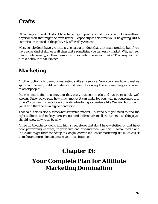#### **Crafts**

Of course your products don't have to be digital products and if you can make something physical then that might be even better – especially as this time you'll be getting 100% commission instead of the paltry 4% offered byAmazon!

Most people don't have the means to create a product that they mass produce but if you have some kind of skill or craft then that's something you can easily market. Why not sell hand-made jewelry, clothes, paintings or something else you make? That way you can turn a hobby into a business!

### **Marketing**

Another option is to use your marketing skills as a service. Now you know how to makea splash on the web, build an audience and gain a following, this is something you can sell to other people!

Internet marketing is something that every business needs and it's increasingly well known. Once you've seen how much money it can make for you, why not outsource it to others? You can find work very quickly advertising somewhere like Warrior Forum and you'll find that there's a big demand for it.

That said, this is also a somewhat saturated market. To stand out, you need to find the right audience and make your service sound different from all the others – all things you should know how to do by now!

A free tip though: try going into high street stores that don't have websites (or that have poor performing websites) in your area and offering them your SEO, social media and PPC skills to get them to the top of Google. As with influencer marketing, it's much easier to make an impression and make your case inperson!

# **Chapter 13:**

# **Your Complete Plan for Affiliate Marketing Domination**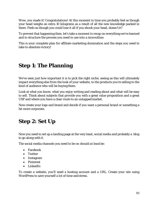Wow, you made it! Congratulations! At this moment in time you probably feel as though your head weighs an extra 10 kilograms as a result of all the new knowledge packed in there. Feels as though you could lose it all if you shook your head, doesn'tit?

To prevent that happening then, let's take a moment to recap on everything we've learned and to structure the process you need to use into a niceoutline.

This is your complete plan for affiliate marketing domination and the steps you need to take to absolute victory!

#### **Step 1: The Planning**

We've seen just how important it is to pick the right niche, seeing as this will ultimately impact everything else from the look of your website, to the products you're selling to the kind of audience who will be buying them.

Look at what you know, what you enjoy writing and reading about and what will be easy to sell. Think about subjects that provide you with a great value proposition and a great USP and where you have a clear route to an untappedmarket.

Now create your logo and brand and decide if you want a personal brand or something a bit more corporate.

## **Step 2: Set Up**

Now you need to set up a landing page at the very least, social media and probably a blog to go along with it.

The social media channels you need to be on should *at least* be:

- Facebook
- Twitter
- Instagram
- Pinterest
- LinkedIn

To create a website, you'll need a hosting account and a URL. Create your site using WordPress to save yourself a lot of time andstress.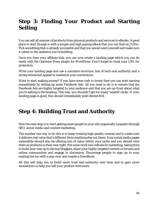## **Step 3: Finding Your Product and Starting Selling**

You can sell all manner of products from physical products and services to eBooks. A good place to start though is with a simple and high paying eBook that you can find on JVZoo. Pick something that is already successful and that you would want yourself and make sure it caters to the audience you're building.

Once you have your affiliate link, you can now create a landing page which you can do easily with the Optimize Press plugin for WordPress. Don't forget to cloak your URL for protection.

Write your landing page and use a narrative structure, lots of facts and authority and a strong emotional appeal to maximize your conversions.

Want to start making money? If you have some cash to invest then you can start earning immediately by setting up some Facebook Ads. All you need to do is to ensure that the Facebook Ads are highly targeted to your audience and that you are up-front about what you're selling in the heading. This way, you shouldn't get too many 'wasted' clicks. If your landing page is good, this should immediately yield decentROI.

### **Step 4: Building Trust and Authority**

Now the next step is to start getting more people to your site organically (unpaid) through SEO, social media and content marketing.

The number one way to do this is to keep creating high quality content and to make sure it delivers real value that's different from anything else out there. Your social media pages meanwhile should also be offering lots of value within your niche and you should view them as products in their own right. Put some work into influencer marketing, taking time to build your way up to the top bloggers, share your highly targeted content in forums and online communities and engage in discussion. Encourage people to sign up to your mailing list too with a pop-over and maybe a free eBook.

All this will help you to build more trust and authority over time and to gain more momentum to help you sell your product even more.